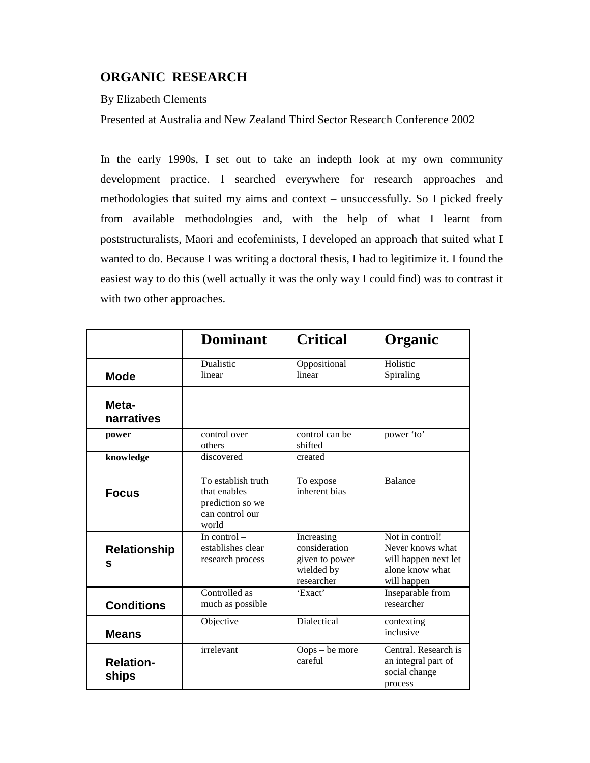# **ORGANIC RESEARCH**

# By Elizabeth Clements

Presented at Australia and New Zealand Third Sector Research Conference 2002

In the early 1990s, I set out to take an indepth look at my own community development practice. I searched everywhere for research approaches and methodologies that suited my aims and context – unsuccessfully. So I picked freely from available methodologies and, with the help of what I learnt from poststructuralists, Maori and ecofeminists, I developed an approach that suited what I wanted to do. Because I was writing a doctoral thesis, I had to legitimize it. I found the easiest way to do this (well actually it was the only way I could find) was to contrast it with two other approaches.

|                           | <b>Dominant</b>                                                                    | <b>Critical</b>                                                           | Organic                                                                                       |
|---------------------------|------------------------------------------------------------------------------------|---------------------------------------------------------------------------|-----------------------------------------------------------------------------------------------|
| <b>Mode</b>               | Dualistic<br>linear                                                                | Oppositional<br>linear                                                    | Holistic<br>Spiraling                                                                         |
| Meta-<br>narratives       |                                                                                    |                                                                           |                                                                                               |
| power                     | control over<br>others                                                             | control can be<br>shifted                                                 | power 'to'                                                                                    |
| knowledge                 | discovered                                                                         | created                                                                   |                                                                                               |
|                           |                                                                                    |                                                                           |                                                                                               |
| <b>Focus</b>              | To establish truth<br>that enables<br>prediction so we<br>can control our<br>world | To expose<br>inherent bias                                                | <b>Balance</b>                                                                                |
| <b>Relationship</b><br>S  | In control $-$<br>establishes clear<br>research process                            | Increasing<br>consideration<br>given to power<br>wielded by<br>researcher | Not in control!<br>Never knows what<br>will happen next let<br>alone know what<br>will happen |
| <b>Conditions</b>         | Controlled as<br>much as possible                                                  | 'Exact'                                                                   | Inseparable from<br>researcher                                                                |
| <b>Means</b>              | Objective                                                                          | Dialectical                                                               | contexting<br>inclusive                                                                       |
| <b>Relation-</b><br>ships | irrelevant                                                                         | Oops – be more<br>careful                                                 | Central. Research is<br>an integral part of<br>social change<br>process                       |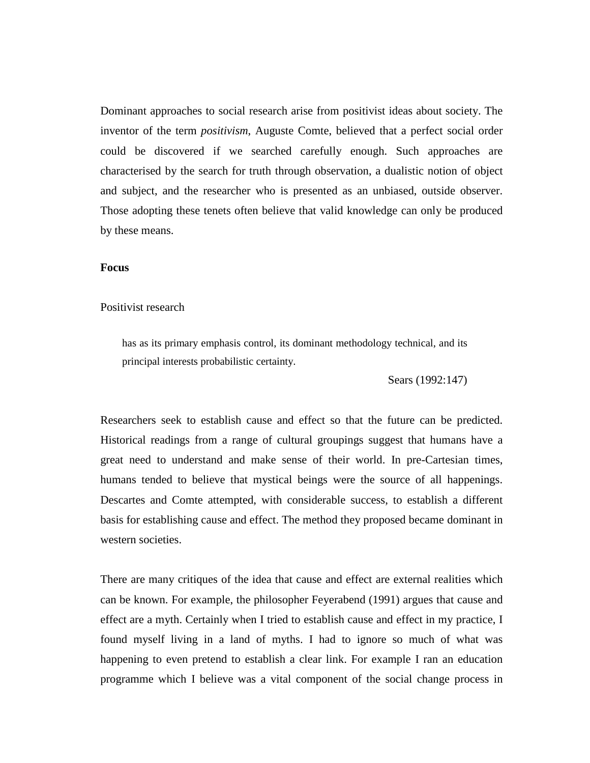Dominant approaches to social research arise from positivist ideas about society. The inventor of the term *positivism*, Auguste Comte, believed that a perfect social order could be discovered if we searched carefully enough. Such approaches are characterised by the search for truth through observation, a dualistic notion of object and subject, and the researcher who is presented as an unbiased, outside observer. Those adopting these tenets often believe that valid knowledge can only be produced by these means.

#### **Focus**

### Positivist research

has as its primary emphasis control, its dominant methodology technical, and its principal interests probabilistic certainty.

Sears (1992:147)

Researchers seek to establish cause and effect so that the future can be predicted. Historical readings from a range of cultural groupings suggest that humans have a great need to understand and make sense of their world. In pre-Cartesian times, humans tended to believe that mystical beings were the source of all happenings. Descartes and Comte attempted, with considerable success, to establish a different basis for establishing cause and effect. The method they proposed became dominant in western societies.

There are many critiques of the idea that cause and effect are external realities which can be known. For example, the philosopher Feyerabend (1991) argues that cause and effect are a myth. Certainly when I tried to establish cause and effect in my practice, I found myself living in a land of myths. I had to ignore so much of what was happening to even pretend to establish a clear link. For example I ran an education programme which I believe was a vital component of the social change process in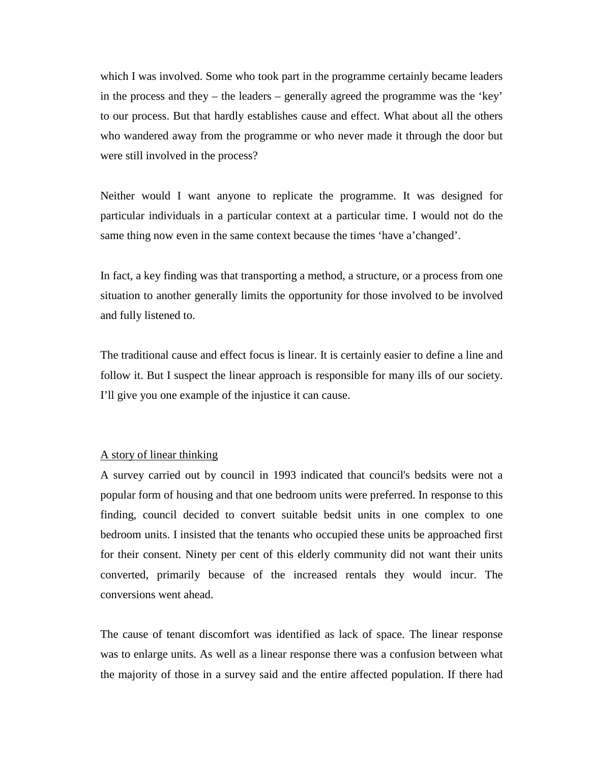which I was involved. Some who took part in the programme certainly became leaders in the process and they – the leaders – generally agreed the programme was the 'key' to our process. But that hardly establishes cause and effect. What about all the others who wandered away from the programme or who never made it through the door but were still involved in the process?

Neither would I want anyone to replicate the programme. It was designed for particular individuals in a particular context at a particular time. I would not do the same thing now even in the same context because the times 'have a'changed'.

In fact, a key finding was that transporting a method, a structure, or a process from one situation to another generally limits the opportunity for those involved to be involved and fully listened to.

The traditional cause and effect focus is linear. It is certainly easier to define a line and follow it. But I suspect the linear approach is responsible for many ills of our society. I'll give you one example of the injustice it can cause.

# A story of linear thinking

A survey carried out by council in 1993 indicated that council's bedsits were not a popular form of housing and that one bedroom units were preferred. In response to this finding, council decided to convert suitable bedsit units in one complex to one bedroom units. I insisted that the tenants who occupied these units be approached first for their consent. Ninety per cent of this elderly community did not want their units converted, primarily because of the increased rentals they would incur. The conversions went ahead.

The cause of tenant discomfort was identified as lack of space. The linear response was to enlarge units. As well as a linear response there was a confusion between what the majority of those in a survey said and the entire affected population. If there had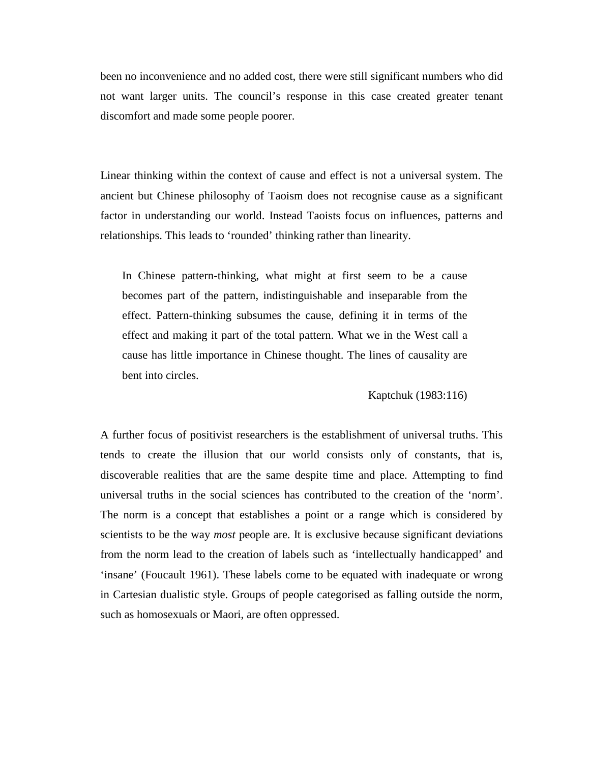been no inconvenience and no added cost, there were still significant numbers who did not want larger units. The council's response in this case created greater tenant discomfort and made some people poorer.

Linear thinking within the context of cause and effect is not a universal system. The ancient but Chinese philosophy of Taoism does not recognise cause as a significant factor in understanding our world. Instead Taoists focus on influences, patterns and relationships. This leads to 'rounded' thinking rather than linearity.

In Chinese pattern-thinking, what might at first seem to be a cause becomes part of the pattern, indistinguishable and inseparable from the effect. Pattern-thinking subsumes the cause, defining it in terms of the effect and making it part of the total pattern. What we in the West call a cause has little importance in Chinese thought. The lines of causality are bent into circles.

Kaptchuk (1983:116)

A further focus of positivist researchers is the establishment of universal truths. This tends to create the illusion that our world consists only of constants, that is, discoverable realities that are the same despite time and place. Attempting to find universal truths in the social sciences has contributed to the creation of the 'norm'. The norm is a concept that establishes a point or a range which is considered by scientists to be the way *most* people are. It is exclusive because significant deviations from the norm lead to the creation of labels such as 'intellectually handicapped' and 'insane' (Foucault 1961). These labels come to be equated with inadequate or wrong in Cartesian dualistic style. Groups of people categorised as falling outside the norm, such as homosexuals or Maori, are often oppressed.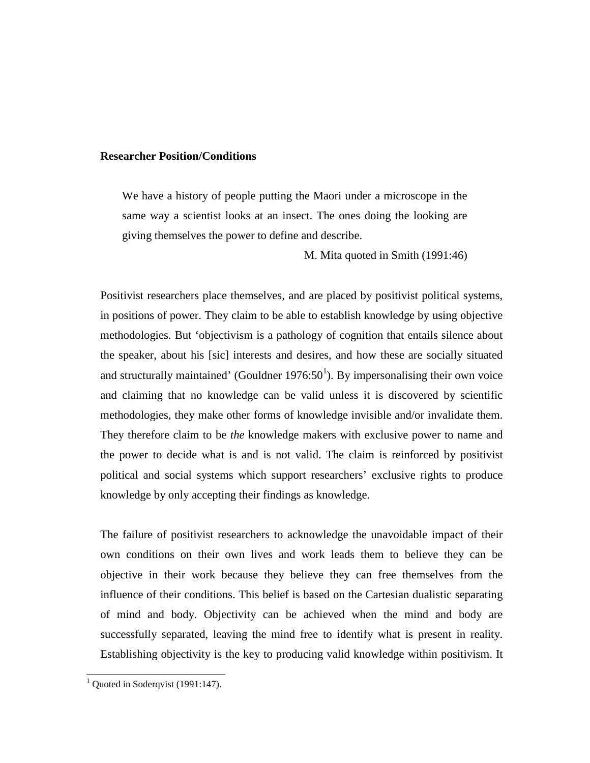### **Researcher Position/Conditions**

We have a history of people putting the Maori under a microscope in the same way a scientist looks at an insect. The ones doing the looking are giving themselves the power to define and describe.

M. Mita quoted in Smith (1991:46)

Positivist researchers place themselves, and are placed by positivist political systems, in positions of power. They claim to be able to establish knowledge by using objective methodologies. But 'objectivism is a pathology of cognition that entails silence about the speaker, about his [sic] interests and desires, and how these are socially situated and structurally maintained' (Gouldner 1976:50<sup>1</sup>). By impersonalising their own voice and claiming that no knowledge can be valid unless it is discovered by scientific methodologies, they make other forms of knowledge invisible and/or invalidate them. They therefore claim to be *the* knowledge makers with exclusive power to name and the power to decide what is and is not valid. The claim is reinforced by positivist political and social systems which support researchers' exclusive rights to produce knowledge by only accepting their findings as knowledge.

The failure of positivist researchers to acknowledge the unavoidable impact of their own conditions on their own lives and work leads them to believe they can be objective in their work because they believe they can free themselves from the influence of their conditions. This belief is based on the Cartesian dualistic separating of mind and body. Objectivity can be achieved when the mind and body are successfully separated, leaving the mind free to identify what is present in reality. Establishing objectivity is the key to producing valid knowledge within positivism. It

 $1$  Quoted in Soderqvist (1991:147).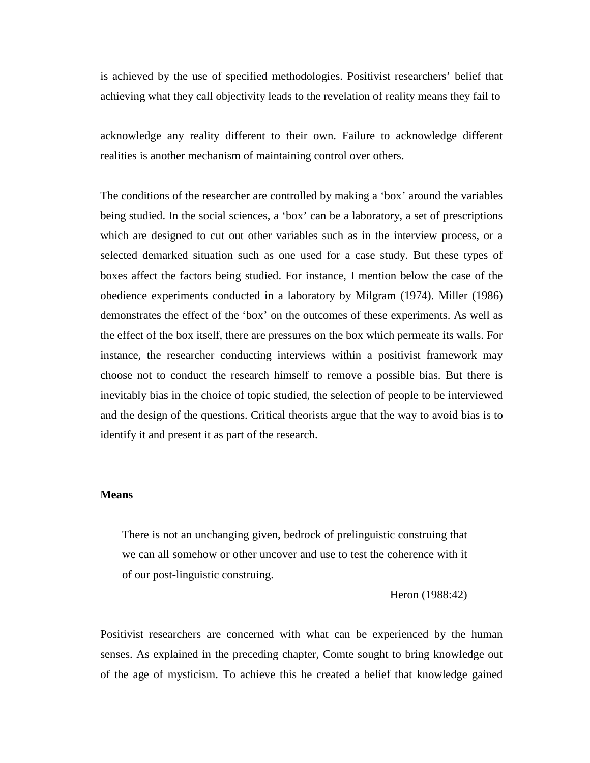is achieved by the use of specified methodologies. Positivist researchers' belief that achieving what they call objectivity leads to the revelation of reality means they fail to

acknowledge any reality different to their own. Failure to acknowledge different realities is another mechanism of maintaining control over others.

The conditions of the researcher are controlled by making a 'box' around the variables being studied. In the social sciences, a 'box' can be a laboratory, a set of prescriptions which are designed to cut out other variables such as in the interview process, or a selected demarked situation such as one used for a case study. But these types of boxes affect the factors being studied. For instance, I mention below the case of the obedience experiments conducted in a laboratory by Milgram (1974). Miller (1986) demonstrates the effect of the 'box' on the outcomes of these experiments. As well as the effect of the box itself, there are pressures on the box which permeate its walls. For instance, the researcher conducting interviews within a positivist framework may choose not to conduct the research himself to remove a possible bias. But there is inevitably bias in the choice of topic studied, the selection of people to be interviewed and the design of the questions. Critical theorists argue that the way to avoid bias is to identify it and present it as part of the research.

### **Means**

There is not an unchanging given, bedrock of prelinguistic construing that we can all somehow or other uncover and use to test the coherence with it of our post-linguistic construing.

Heron (1988:42)

Positivist researchers are concerned with what can be experienced by the human senses. As explained in the preceding chapter, Comte sought to bring knowledge out of the age of mysticism. To achieve this he created a belief that knowledge gained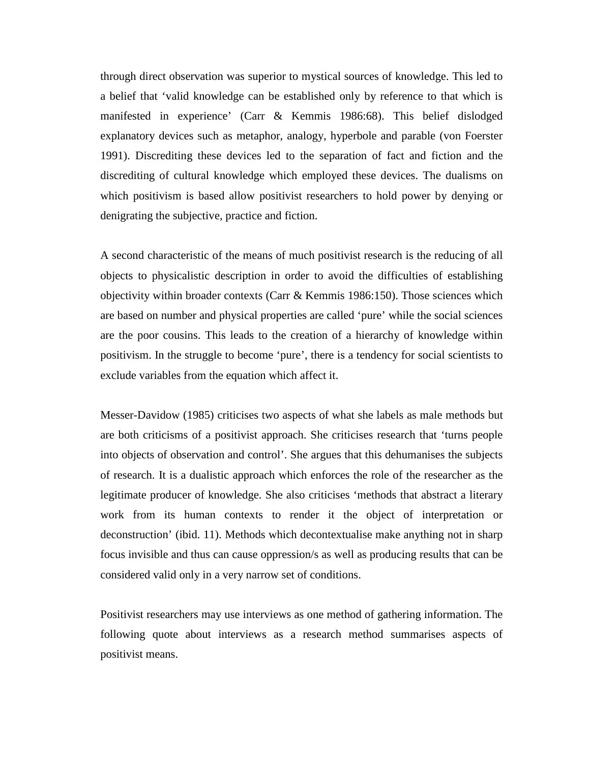through direct observation was superior to mystical sources of knowledge. This led to a belief that 'valid knowledge can be established only by reference to that which is manifested in experience' (Carr & Kemmis 1986:68). This belief dislodged explanatory devices such as metaphor, analogy, hyperbole and parable (von Foerster 1991). Discrediting these devices led to the separation of fact and fiction and the discrediting of cultural knowledge which employed these devices. The dualisms on which positivism is based allow positivist researchers to hold power by denying or denigrating the subjective, practice and fiction.

A second characteristic of the means of much positivist research is the reducing of all objects to physicalistic description in order to avoid the difficulties of establishing objectivity within broader contexts (Carr & Kemmis 1986:150). Those sciences which are based on number and physical properties are called 'pure' while the social sciences are the poor cousins. This leads to the creation of a hierarchy of knowledge within positivism. In the struggle to become 'pure', there is a tendency for social scientists to exclude variables from the equation which affect it.

Messer-Davidow (1985) criticises two aspects of what she labels as male methods but are both criticisms of a positivist approach. She criticises research that 'turns people into objects of observation and control'. She argues that this dehumanises the subjects of research. It is a dualistic approach which enforces the role of the researcher as the legitimate producer of knowledge. She also criticises 'methods that abstract a literary work from its human contexts to render it the object of interpretation or deconstruction' (ibid. 11). Methods which decontextualise make anything not in sharp focus invisible and thus can cause oppression/s as well as producing results that can be considered valid only in a very narrow set of conditions.

Positivist researchers may use interviews as one method of gathering information. The following quote about interviews as a research method summarises aspects of positivist means.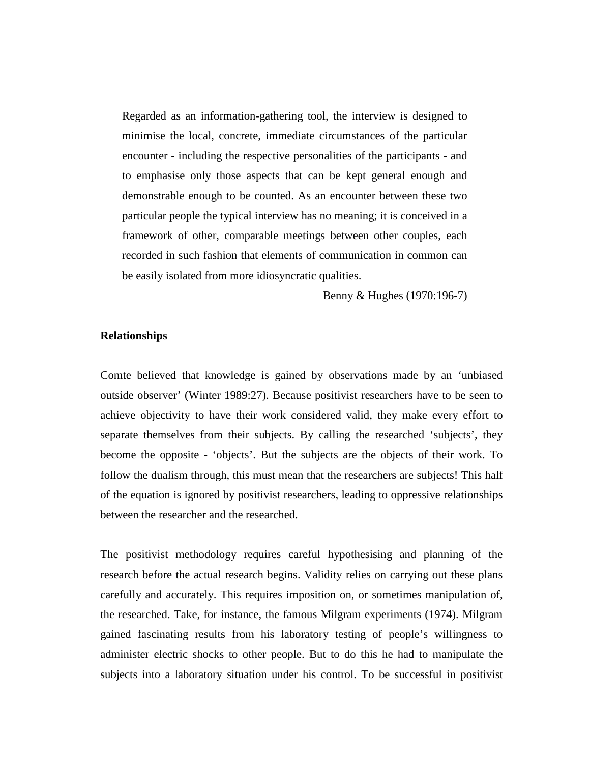Regarded as an information-gathering tool, the interview is designed to minimise the local, concrete, immediate circumstances of the particular encounter - including the respective personalities of the participants - and to emphasise only those aspects that can be kept general enough and demonstrable enough to be counted. As an encounter between these two particular people the typical interview has no meaning; it is conceived in a framework of other, comparable meetings between other couples, each recorded in such fashion that elements of communication in common can be easily isolated from more idiosyncratic qualities.

Benny & Hughes (1970:196-7)

# **Relationships**

Comte believed that knowledge is gained by observations made by an 'unbiased outside observer' (Winter 1989:27). Because positivist researchers have to be seen to achieve objectivity to have their work considered valid, they make every effort to separate themselves from their subjects. By calling the researched 'subjects', they become the opposite - 'objects'. But the subjects are the objects of their work. To follow the dualism through, this must mean that the researchers are subjects! This half of the equation is ignored by positivist researchers, leading to oppressive relationships between the researcher and the researched.

The positivist methodology requires careful hypothesising and planning of the research before the actual research begins. Validity relies on carrying out these plans carefully and accurately. This requires imposition on, or sometimes manipulation of, the researched. Take, for instance, the famous Milgram experiments (1974). Milgram gained fascinating results from his laboratory testing of people's willingness to administer electric shocks to other people. But to do this he had to manipulate the subjects into a laboratory situation under his control. To be successful in positivist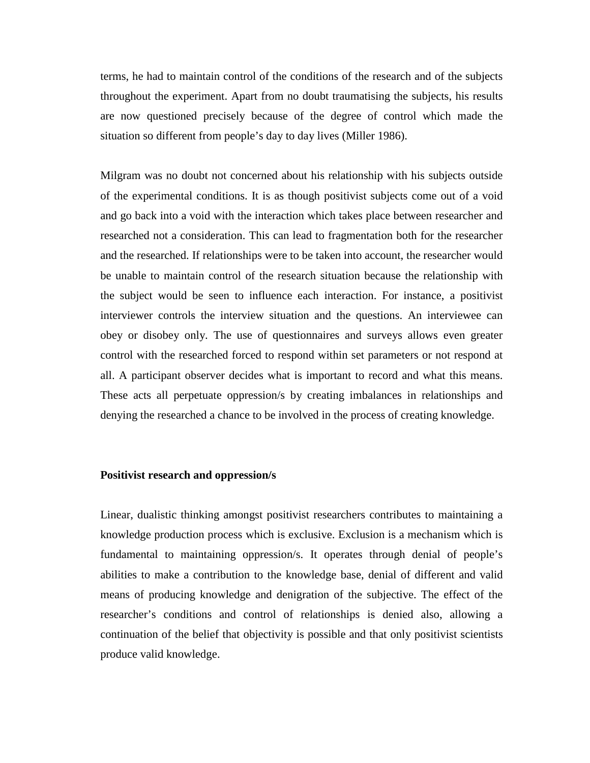terms, he had to maintain control of the conditions of the research and of the subjects throughout the experiment. Apart from no doubt traumatising the subjects, his results are now questioned precisely because of the degree of control which made the situation so different from people's day to day lives (Miller 1986).

Milgram was no doubt not concerned about his relationship with his subjects outside of the experimental conditions. It is as though positivist subjects come out of a void and go back into a void with the interaction which takes place between researcher and researched not a consideration. This can lead to fragmentation both for the researcher and the researched. If relationships were to be taken into account, the researcher would be unable to maintain control of the research situation because the relationship with the subject would be seen to influence each interaction. For instance, a positivist interviewer controls the interview situation and the questions. An interviewee can obey or disobey only. The use of questionnaires and surveys allows even greater control with the researched forced to respond within set parameters or not respond at all. A participant observer decides what is important to record and what this means. These acts all perpetuate oppression/s by creating imbalances in relationships and denying the researched a chance to be involved in the process of creating knowledge.

#### **Positivist research and oppression/s**

Linear, dualistic thinking amongst positivist researchers contributes to maintaining a knowledge production process which is exclusive. Exclusion is a mechanism which is fundamental to maintaining oppression/s. It operates through denial of people's abilities to make a contribution to the knowledge base, denial of different and valid means of producing knowledge and denigration of the subjective. The effect of the researcher's conditions and control of relationships is denied also, allowing a continuation of the belief that objectivity is possible and that only positivist scientists produce valid knowledge.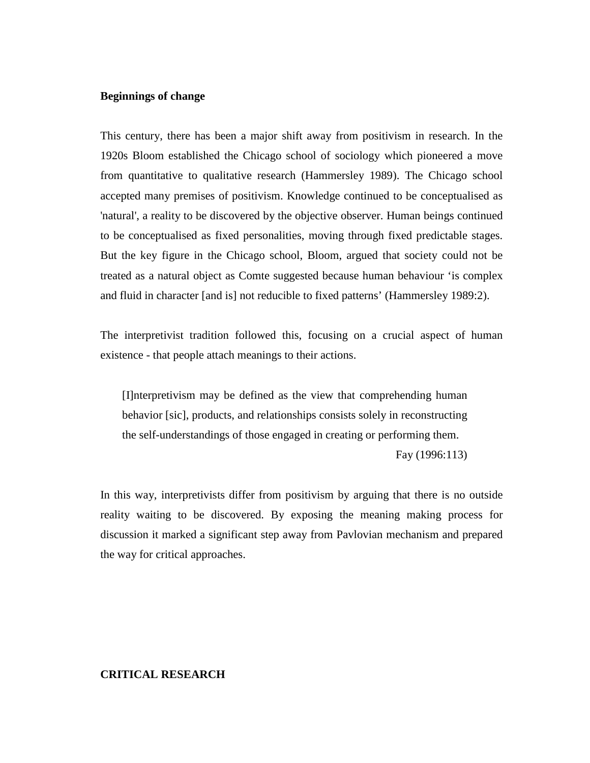### **Beginnings of change**

This century, there has been a major shift away from positivism in research. In the 1920s Bloom established the Chicago school of sociology which pioneered a move from quantitative to qualitative research (Hammersley 1989). The Chicago school accepted many premises of positivism. Knowledge continued to be conceptualised as 'natural', a reality to be discovered by the objective observer. Human beings continued to be conceptualised as fixed personalities, moving through fixed predictable stages. But the key figure in the Chicago school, Bloom, argued that society could not be treated as a natural object as Comte suggested because human behaviour 'is complex and fluid in character [and is] not reducible to fixed patterns' (Hammersley 1989:2).

The interpretivist tradition followed this, focusing on a crucial aspect of human existence - that people attach meanings to their actions.

[I]nterpretivism may be defined as the view that comprehending human behavior [sic], products, and relationships consists solely in reconstructing the self-understandings of those engaged in creating or performing them.

Fay (1996:113)

In this way, interpretivists differ from positivism by arguing that there is no outside reality waiting to be discovered. By exposing the meaning making process for discussion it marked a significant step away from Pavlovian mechanism and prepared the way for critical approaches.

### **CRITICAL RESEARCH**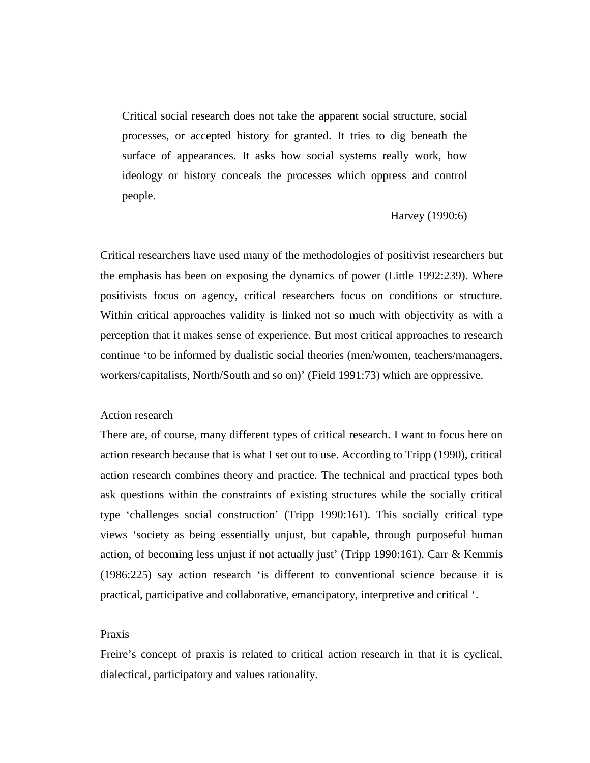Critical social research does not take the apparent social structure, social processes, or accepted history for granted. It tries to dig beneath the surface of appearances. It asks how social systems really work, how ideology or history conceals the processes which oppress and control people.

#### Harvey (1990:6)

Critical researchers have used many of the methodologies of positivist researchers but the emphasis has been on exposing the dynamics of power (Little 1992:239). Where positivists focus on agency, critical researchers focus on conditions or structure. Within critical approaches validity is linked not so much with objectivity as with a perception that it makes sense of experience. But most critical approaches to research continue 'to be informed by dualistic social theories (men/women, teachers/managers, workers/capitalists, North/South and so on)' (Field 1991:73) which are oppressive.

### Action research

There are, of course, many different types of critical research. I want to focus here on action research because that is what I set out to use. According to Tripp (1990), critical action research combines theory and practice. The technical and practical types both ask questions within the constraints of existing structures while the socially critical type 'challenges social construction' (Tripp 1990:161). This socially critical type views 'society as being essentially unjust, but capable, through purposeful human action, of becoming less unjust if not actually just' (Tripp 1990:161). Carr & Kemmis (1986:225) say action research 'is different to conventional science because it is practical, participative and collaborative, emancipatory, interpretive and critical '.

### Praxis

Freire's concept of praxis is related to critical action research in that it is cyclical, dialectical, participatory and values rationality.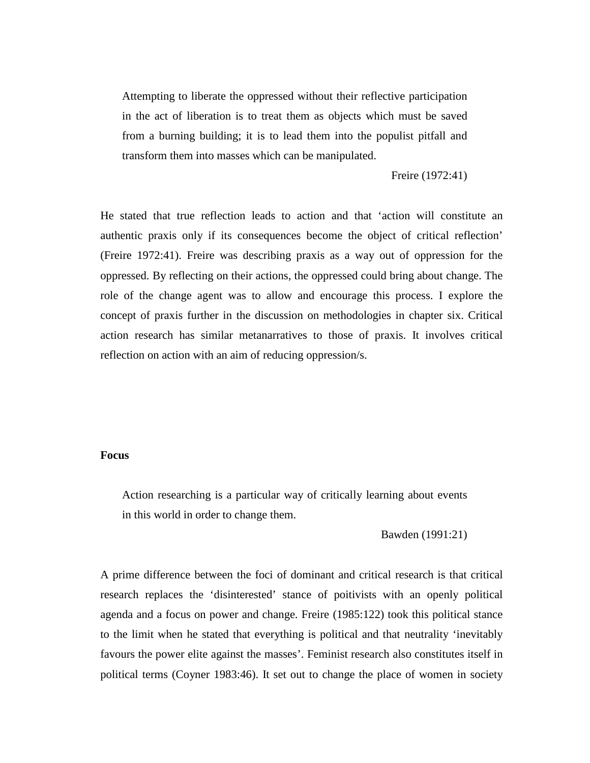Attempting to liberate the oppressed without their reflective participation in the act of liberation is to treat them as objects which must be saved from a burning building; it is to lead them into the populist pitfall and transform them into masses which can be manipulated.

Freire (1972:41)

He stated that true reflection leads to action and that 'action will constitute an authentic praxis only if its consequences become the object of critical reflection' (Freire 1972:41). Freire was describing praxis as a way out of oppression for the oppressed. By reflecting on their actions, the oppressed could bring about change. The role of the change agent was to allow and encourage this process. I explore the concept of praxis further in the discussion on methodologies in chapter six. Critical action research has similar metanarratives to those of praxis. It involves critical reflection on action with an aim of reducing oppression/s.

# **Focus**

Action researching is a particular way of critically learning about events in this world in order to change them.

Bawden (1991:21)

A prime difference between the foci of dominant and critical research is that critical research replaces the 'disinterested' stance of poitivists with an openly political agenda and a focus on power and change. Freire (1985:122) took this political stance to the limit when he stated that everything is political and that neutrality 'inevitably favours the power elite against the masses'. Feminist research also constitutes itself in political terms (Coyner 1983:46). It set out to change the place of women in society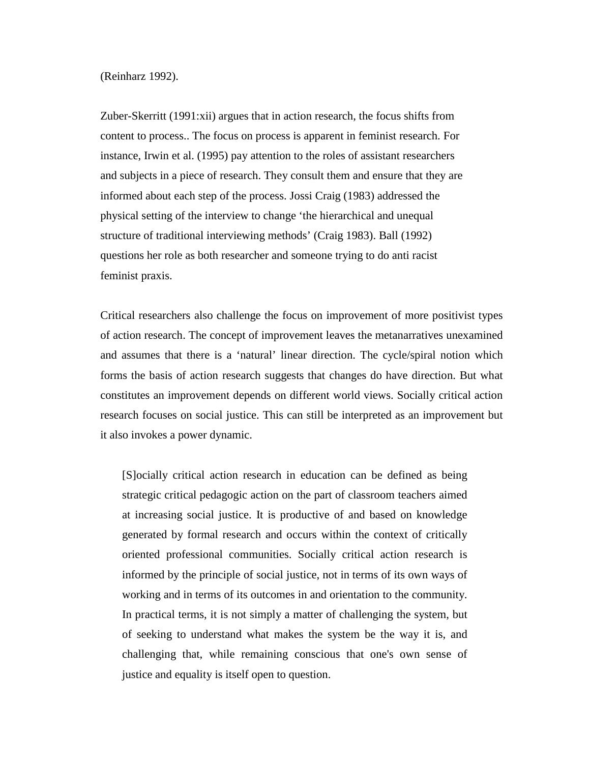(Reinharz 1992).

Zuber-Skerritt (1991:xii) argues that in action research, the focus shifts from content to process.. The focus on process is apparent in feminist research. For instance, Irwin et al. (1995) pay attention to the roles of assistant researchers and subjects in a piece of research. They consult them and ensure that they are informed about each step of the process. Jossi Craig (1983) addressed the physical setting of the interview to change 'the hierarchical and unequal structure of traditional interviewing methods' (Craig 1983). Ball (1992) questions her role as both researcher and someone trying to do anti racist feminist praxis.

Critical researchers also challenge the focus on improvement of more positivist types of action research. The concept of improvement leaves the metanarratives unexamined and assumes that there is a 'natural' linear direction. The cycle/spiral notion which forms the basis of action research suggests that changes do have direction. But what constitutes an improvement depends on different world views. Socially critical action research focuses on social justice. This can still be interpreted as an improvement but it also invokes a power dynamic.

[S]ocially critical action research in education can be defined as being strategic critical pedagogic action on the part of classroom teachers aimed at increasing social justice. It is productive of and based on knowledge generated by formal research and occurs within the context of critically oriented professional communities. Socially critical action research is informed by the principle of social justice, not in terms of its own ways of working and in terms of its outcomes in and orientation to the community. In practical terms, it is not simply a matter of challenging the system, but of seeking to understand what makes the system be the way it is, and challenging that, while remaining conscious that one's own sense of justice and equality is itself open to question.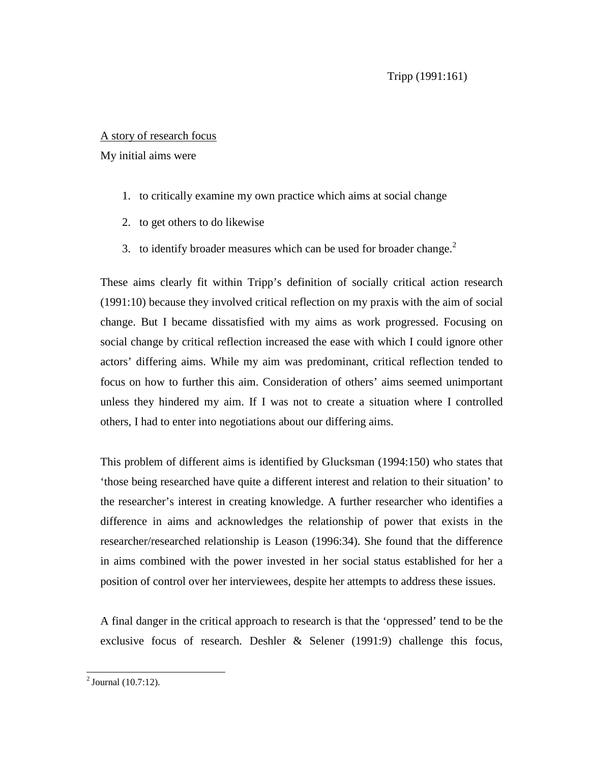# A story of research focus

My initial aims were

- 1. to critically examine my own practice which aims at social change
- 2. to get others to do likewise
- 3. to identify broader measures which can be used for broader change. $<sup>2</sup>$ </sup>

These aims clearly fit within Tripp's definition of socially critical action research (1991:10) because they involved critical reflection on my praxis with the aim of social change. But I became dissatisfied with my aims as work progressed. Focusing on social change by critical reflection increased the ease with which I could ignore other actors' differing aims. While my aim was predominant, critical reflection tended to focus on how to further this aim. Consideration of others' aims seemed unimportant unless they hindered my aim. If I was not to create a situation where I controlled others, I had to enter into negotiations about our differing aims.

This problem of different aims is identified by Glucksman (1994:150) who states that 'those being researched have quite a different interest and relation to their situation' to the researcher's interest in creating knowledge. A further researcher who identifies a difference in aims and acknowledges the relationship of power that exists in the researcher/researched relationship is Leason (1996:34). She found that the difference in aims combined with the power invested in her social status established for her a position of control over her interviewees, despite her attempts to address these issues.

A final danger in the critical approach to research is that the 'oppressed' tend to be the exclusive focus of research. Deshler  $\&$  Selener (1991:9) challenge this focus,

 $^{2}$  Journal (10.7:12).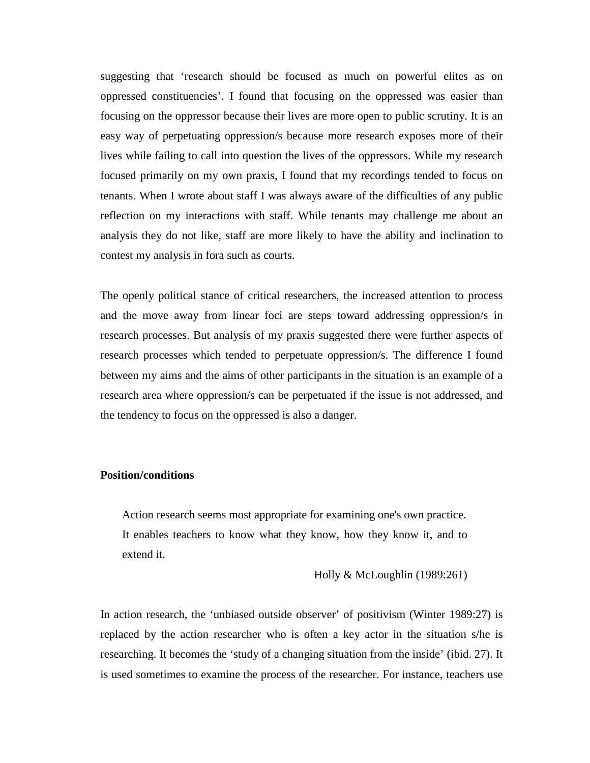suggesting that 'research should be focused as much on powerful elites as on oppressed constituencies'. I found that focusing on the oppressed was easier than focusing on the oppressor because their lives are more open to public scrutiny. It is an easy way of perpetuating oppression/s because more research exposes more of their lives while failing to call into question the lives of the oppressors. While my research focused primarily on my own praxis, I found that my recordings tended to focus on tenants. When I wrote about staff I was always aware of the difficulties of any public reflection on my interactions with staff. While tenants may challenge me about an analysis they do not like, staff are more likely to have the ability and inclination to contest my analysis in fora such as courts.

The openly political stance of critical researchers, the increased attention to process and the move away from linear foci are steps toward addressing oppression/s in research processes. But analysis of my praxis suggested there were further aspects of research processes which tended to perpetuate oppression/s. The difference I found between my aims and the aims of other participants in the situation is an example of a research area where oppression/s can be perpetuated if the issue is not addressed, and the tendency to focus on the oppressed is also a danger.

### **Position/conditions**

Action research seems most appropriate for examining one's own practice. It enables teachers to know what they know, how they know it, and to extend it.

Holly & McLoughlin (1989:261)

In action research, the 'unbiased outside observer' of positivism (Winter 1989:27) is replaced by the action researcher who is often a key actor in the situation s/he is researching. It becomes the 'study of a changing situation from the inside' (ibid. 27). It is used sometimes to examine the process of the researcher. For instance, teachers use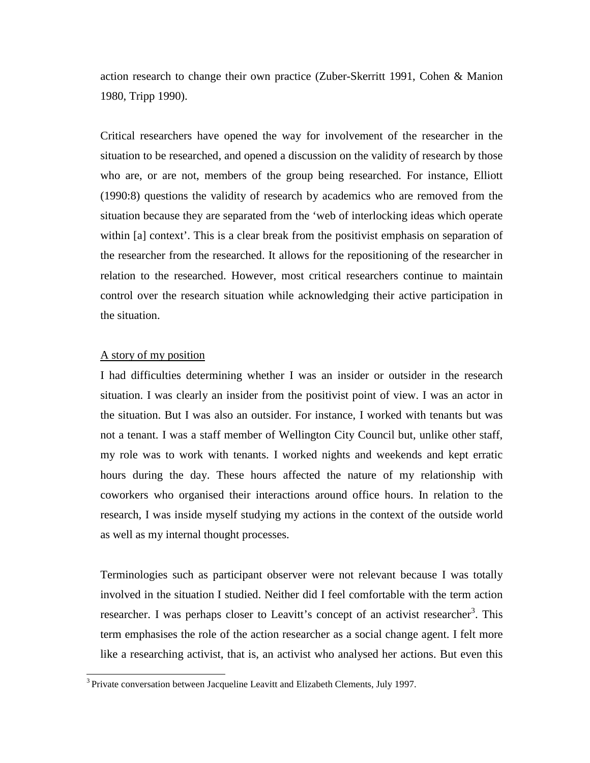action research to change their own practice (Zuber-Skerritt 1991, Cohen & Manion 1980, Tripp 1990).

Critical researchers have opened the way for involvement of the researcher in the situation to be researched, and opened a discussion on the validity of research by those who are, or are not, members of the group being researched. For instance, Elliott (1990:8) questions the validity of research by academics who are removed from the situation because they are separated from the 'web of interlocking ideas which operate within [a] context'. This is a clear break from the positivist emphasis on separation of the researcher from the researched. It allows for the repositioning of the researcher in relation to the researched. However, most critical researchers continue to maintain control over the research situation while acknowledging their active participation in the situation.

# A story of my position

I had difficulties determining whether I was an insider or outsider in the research situation. I was clearly an insider from the positivist point of view. I was an actor in the situation. But I was also an outsider. For instance, I worked with tenants but was not a tenant. I was a staff member of Wellington City Council but, unlike other staff, my role was to work with tenants. I worked nights and weekends and kept erratic hours during the day. These hours affected the nature of my relationship with coworkers who organised their interactions around office hours. In relation to the research, I was inside myself studying my actions in the context of the outside world as well as my internal thought processes.

Terminologies such as participant observer were not relevant because I was totally involved in the situation I studied. Neither did I feel comfortable with the term action researcher. I was perhaps closer to Leavitt's concept of an activist researcher<sup>3</sup>. This term emphasises the role of the action researcher as a social change agent. I felt more like a researching activist, that is, an activist who analysed her actions. But even this

<sup>&</sup>lt;sup>3</sup> Private conversation between Jacqueline Leavitt and Elizabeth Clements, July 1997.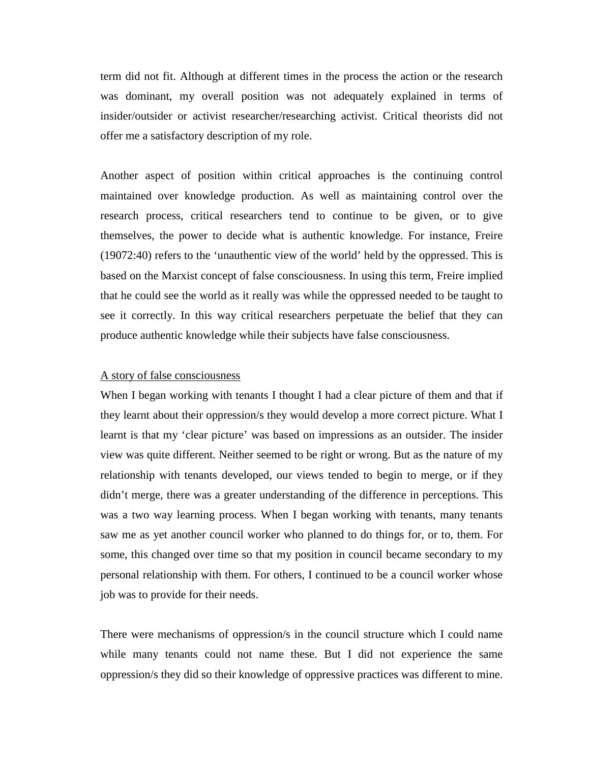term did not fit. Although at different times in the process the action or the research was dominant, my overall position was not adequately explained in terms of insider/outsider or activist researcher/researching activist. Critical theorists did not offer me a satisfactory description of my role.

Another aspect of position within critical approaches is the continuing control maintained over knowledge production. As well as maintaining control over the research process, critical researchers tend to continue to be given, or to give themselves, the power to decide what is authentic knowledge. For instance, Freire (19072:40) refers to the 'unauthentic view of the world' held by the oppressed. This is based on the Marxist concept of false consciousness. In using this term, Freire implied that he could see the world as it really was while the oppressed needed to be taught to see it correctly. In this way critical researchers perpetuate the belief that they can produce authentic knowledge while their subjects have false consciousness.

#### A story of false consciousness

When I began working with tenants I thought I had a clear picture of them and that if they learnt about their oppression/s they would develop a more correct picture. What I learnt is that my 'clear picture' was based on impressions as an outsider. The insider view was quite different. Neither seemed to be right or wrong. But as the nature of my relationship with tenants developed, our views tended to begin to merge, or if they didn't merge, there was a greater understanding of the difference in perceptions. This was a two way learning process. When I began working with tenants, many tenants saw me as yet another council worker who planned to do things for, or to, them. For some, this changed over time so that my position in council became secondary to my personal relationship with them. For others, I continued to be a council worker whose job was to provide for their needs.

There were mechanisms of oppression/s in the council structure which I could name while many tenants could not name these. But I did not experience the same oppression/s they did so their knowledge of oppressive practices was different to mine.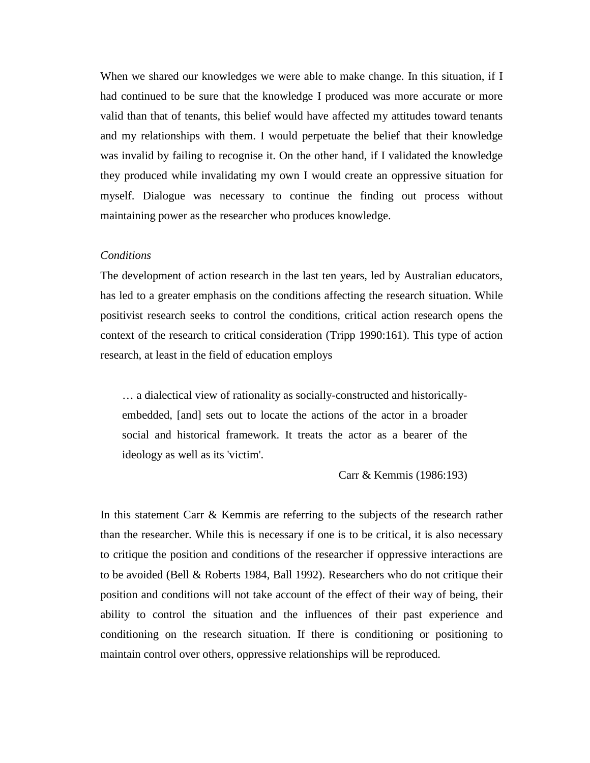When we shared our knowledges we were able to make change. In this situation, if I had continued to be sure that the knowledge I produced was more accurate or more valid than that of tenants, this belief would have affected my attitudes toward tenants and my relationships with them. I would perpetuate the belief that their knowledge was invalid by failing to recognise it. On the other hand, if I validated the knowledge they produced while invalidating my own I would create an oppressive situation for myself. Dialogue was necessary to continue the finding out process without maintaining power as the researcher who produces knowledge.

#### *Conditions*

The development of action research in the last ten years, led by Australian educators, has led to a greater emphasis on the conditions affecting the research situation. While positivist research seeks to control the conditions, critical action research opens the context of the research to critical consideration (Tripp 1990:161). This type of action research, at least in the field of education employs

… a dialectical view of rationality as socially-constructed and historicallyembedded, [and] sets out to locate the actions of the actor in a broader social and historical framework. It treats the actor as a bearer of the ideology as well as its 'victim'.

Carr & Kemmis (1986:193)

In this statement Carr & Kemmis are referring to the subjects of the research rather than the researcher. While this is necessary if one is to be critical, it is also necessary to critique the position and conditions of the researcher if oppressive interactions are to be avoided (Bell & Roberts 1984, Ball 1992). Researchers who do not critique their position and conditions will not take account of the effect of their way of being, their ability to control the situation and the influences of their past experience and conditioning on the research situation. If there is conditioning or positioning to maintain control over others, oppressive relationships will be reproduced.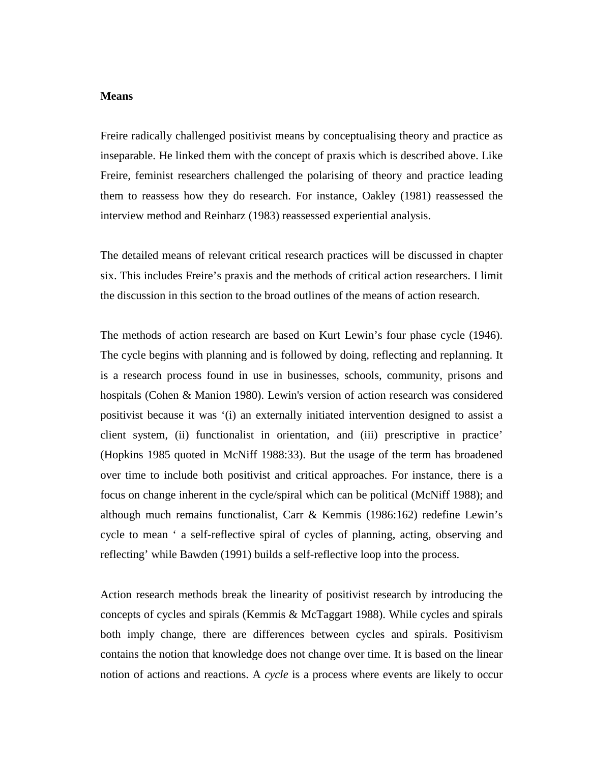#### **Means**

Freire radically challenged positivist means by conceptualising theory and practice as inseparable. He linked them with the concept of praxis which is described above. Like Freire, feminist researchers challenged the polarising of theory and practice leading them to reassess how they do research. For instance, Oakley (1981) reassessed the interview method and Reinharz (1983) reassessed experiential analysis.

The detailed means of relevant critical research practices will be discussed in chapter six. This includes Freire's praxis and the methods of critical action researchers. I limit the discussion in this section to the broad outlines of the means of action research.

The methods of action research are based on Kurt Lewin's four phase cycle (1946). The cycle begins with planning and is followed by doing, reflecting and replanning. It is a research process found in use in businesses, schools, community, prisons and hospitals (Cohen & Manion 1980). Lewin's version of action research was considered positivist because it was '(i) an externally initiated intervention designed to assist a client system, (ii) functionalist in orientation, and (iii) prescriptive in practice' (Hopkins 1985 quoted in McNiff 1988:33). But the usage of the term has broadened over time to include both positivist and critical approaches. For instance, there is a focus on change inherent in the cycle/spiral which can be political (McNiff 1988); and although much remains functionalist, Carr & Kemmis (1986:162) redefine Lewin's cycle to mean ' a self-reflective spiral of cycles of planning, acting, observing and reflecting' while Bawden (1991) builds a self-reflective loop into the process.

Action research methods break the linearity of positivist research by introducing the concepts of cycles and spirals (Kemmis & McTaggart 1988). While cycles and spirals both imply change, there are differences between cycles and spirals. Positivism contains the notion that knowledge does not change over time. It is based on the linear notion of actions and reactions. A *cycle* is a process where events are likely to occur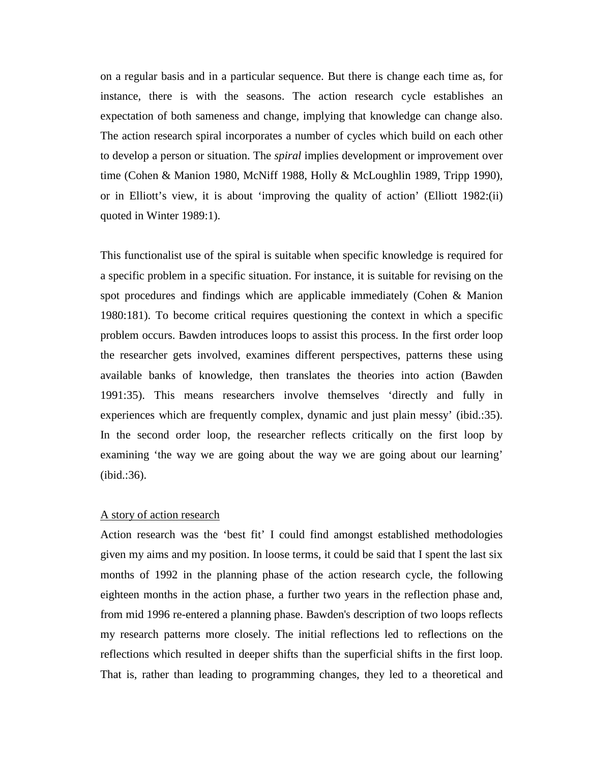on a regular basis and in a particular sequence. But there is change each time as, for instance, there is with the seasons. The action research cycle establishes an expectation of both sameness and change, implying that knowledge can change also. The action research spiral incorporates a number of cycles which build on each other to develop a person or situation. The *spiral* implies development or improvement over time (Cohen & Manion 1980, McNiff 1988, Holly & McLoughlin 1989, Tripp 1990), or in Elliott's view, it is about 'improving the quality of action' (Elliott 1982:(ii) quoted in Winter 1989:1).

This functionalist use of the spiral is suitable when specific knowledge is required for a specific problem in a specific situation. For instance, it is suitable for revising on the spot procedures and findings which are applicable immediately (Cohen & Manion 1980:181). To become critical requires questioning the context in which a specific problem occurs. Bawden introduces loops to assist this process. In the first order loop the researcher gets involved, examines different perspectives, patterns these using available banks of knowledge, then translates the theories into action (Bawden 1991:35). This means researchers involve themselves 'directly and fully in experiences which are frequently complex, dynamic and just plain messy' (ibid.:35). In the second order loop, the researcher reflects critically on the first loop by examining 'the way we are going about the way we are going about our learning' (ibid.:36).

# A story of action research

Action research was the 'best fit' I could find amongst established methodologies given my aims and my position. In loose terms, it could be said that I spent the last six months of 1992 in the planning phase of the action research cycle, the following eighteen months in the action phase, a further two years in the reflection phase and, from mid 1996 re-entered a planning phase. Bawden's description of two loops reflects my research patterns more closely. The initial reflections led to reflections on the reflections which resulted in deeper shifts than the superficial shifts in the first loop. That is, rather than leading to programming changes, they led to a theoretical and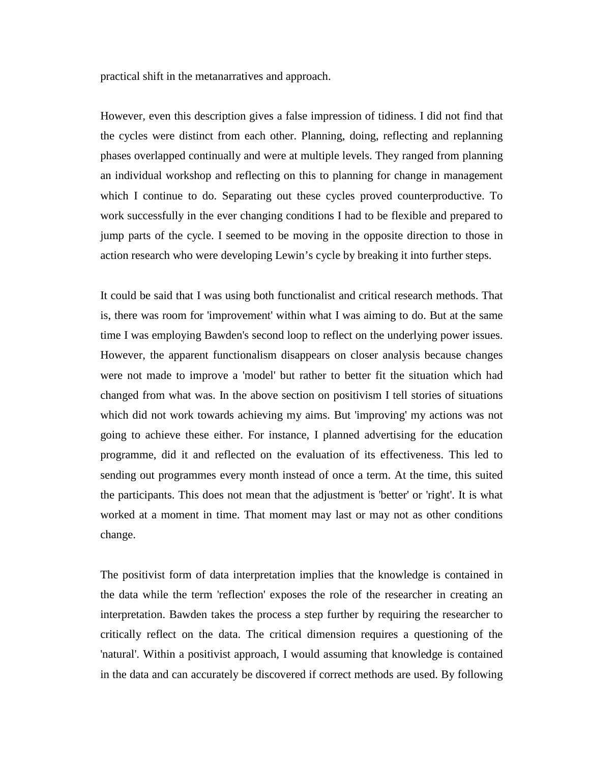practical shift in the metanarratives and approach.

However, even this description gives a false impression of tidiness. I did not find that the cycles were distinct from each other. Planning, doing, reflecting and replanning phases overlapped continually and were at multiple levels. They ranged from planning an individual workshop and reflecting on this to planning for change in management which I continue to do. Separating out these cycles proved counterproductive. To work successfully in the ever changing conditions I had to be flexible and prepared to jump parts of the cycle. I seemed to be moving in the opposite direction to those in action research who were developing Lewin's cycle by breaking it into further steps.

It could be said that I was using both functionalist and critical research methods. That is, there was room for 'improvement' within what I was aiming to do. But at the same time I was employing Bawden's second loop to reflect on the underlying power issues. However, the apparent functionalism disappears on closer analysis because changes were not made to improve a 'model' but rather to better fit the situation which had changed from what was. In the above section on positivism I tell stories of situations which did not work towards achieving my aims. But 'improving' my actions was not going to achieve these either. For instance, I planned advertising for the education programme, did it and reflected on the evaluation of its effectiveness. This led to sending out programmes every month instead of once a term. At the time, this suited the participants. This does not mean that the adjustment is 'better' or 'right'. It is what worked at a moment in time. That moment may last or may not as other conditions change.

The positivist form of data interpretation implies that the knowledge is contained in the data while the term 'reflection' exposes the role of the researcher in creating an interpretation. Bawden takes the process a step further by requiring the researcher to critically reflect on the data. The critical dimension requires a questioning of the 'natural'. Within a positivist approach, I would assuming that knowledge is contained in the data and can accurately be discovered if correct methods are used. By following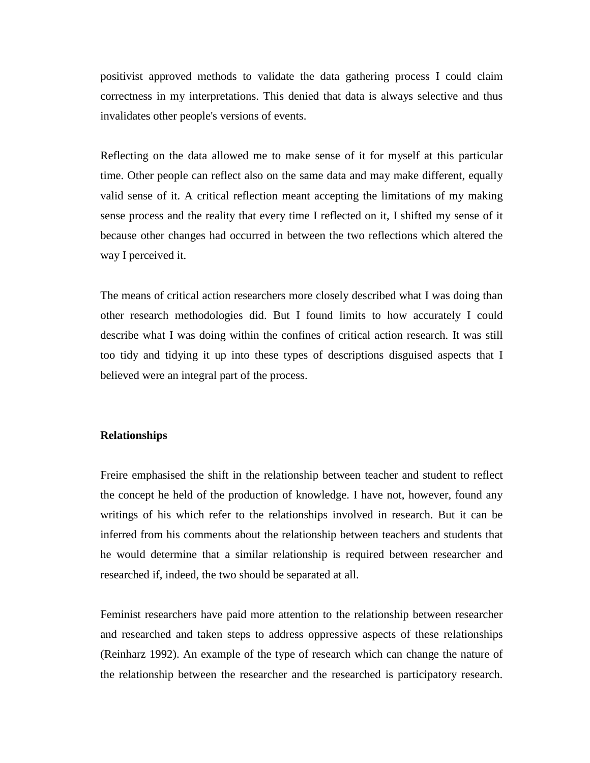positivist approved methods to validate the data gathering process I could claim correctness in my interpretations. This denied that data is always selective and thus invalidates other people's versions of events.

Reflecting on the data allowed me to make sense of it for myself at this particular time. Other people can reflect also on the same data and may make different, equally valid sense of it. A critical reflection meant accepting the limitations of my making sense process and the reality that every time I reflected on it, I shifted my sense of it because other changes had occurred in between the two reflections which altered the way I perceived it.

The means of critical action researchers more closely described what I was doing than other research methodologies did. But I found limits to how accurately I could describe what I was doing within the confines of critical action research. It was still too tidy and tidying it up into these types of descriptions disguised aspects that I believed were an integral part of the process.

### **Relationships**

Freire emphasised the shift in the relationship between teacher and student to reflect the concept he held of the production of knowledge. I have not, however, found any writings of his which refer to the relationships involved in research. But it can be inferred from his comments about the relationship between teachers and students that he would determine that a similar relationship is required between researcher and researched if, indeed, the two should be separated at all.

Feminist researchers have paid more attention to the relationship between researcher and researched and taken steps to address oppressive aspects of these relationships (Reinharz 1992). An example of the type of research which can change the nature of the relationship between the researcher and the researched is participatory research.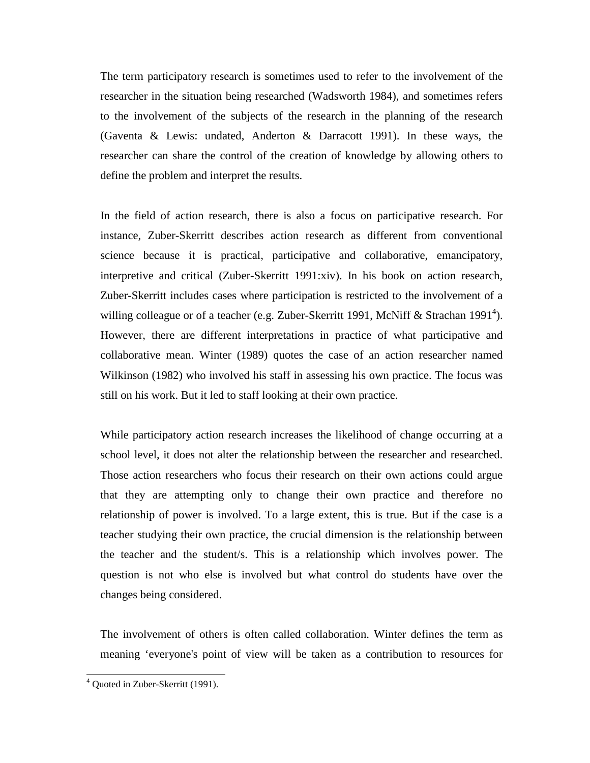The term participatory research is sometimes used to refer to the involvement of the researcher in the situation being researched (Wadsworth 1984), and sometimes refers to the involvement of the subjects of the research in the planning of the research (Gaventa & Lewis: undated, Anderton & Darracott 1991). In these ways, the researcher can share the control of the creation of knowledge by allowing others to define the problem and interpret the results.

In the field of action research, there is also a focus on participative research. For instance, Zuber-Skerritt describes action research as different from conventional science because it is practical, participative and collaborative, emancipatory, interpretive and critical (Zuber-Skerritt 1991:xiv). In his book on action research, Zuber-Skerritt includes cases where participation is restricted to the involvement of a willing colleague or of a teacher (e.g. Zuber-Skerritt 1991, McNiff & Strachan 1991<sup>4</sup>). However, there are different interpretations in practice of what participative and collaborative mean. Winter (1989) quotes the case of an action researcher named Wilkinson (1982) who involved his staff in assessing his own practice. The focus was still on his work. But it led to staff looking at their own practice.

While participatory action research increases the likelihood of change occurring at a school level, it does not alter the relationship between the researcher and researched. Those action researchers who focus their research on their own actions could argue that they are attempting only to change their own practice and therefore no relationship of power is involved. To a large extent, this is true. But if the case is a teacher studying their own practice, the crucial dimension is the relationship between the teacher and the student/s. This is a relationship which involves power. The question is not who else is involved but what control do students have over the changes being considered.

The involvement of others is often called collaboration. Winter defines the term as meaning 'everyone's point of view will be taken as a contribution to resources for

 <sup>4</sup> Quoted in Zuber-Skerritt (1991).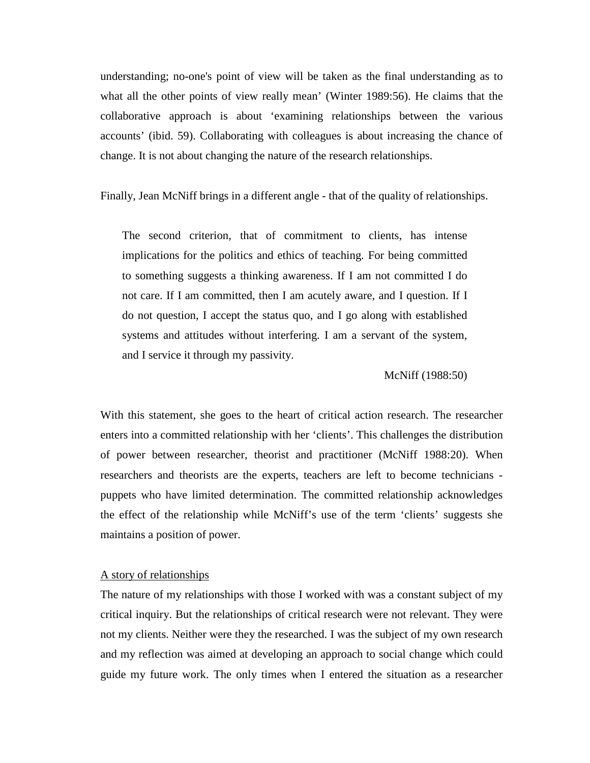understanding; no-one's point of view will be taken as the final understanding as to what all the other points of view really mean' (Winter 1989:56). He claims that the collaborative approach is about 'examining relationships between the various accounts' (ibid. 59). Collaborating with colleagues is about increasing the chance of change. It is not about changing the nature of the research relationships.

Finally, Jean McNiff brings in a different angle - that of the quality of relationships.

The second criterion, that of commitment to clients, has intense implications for the politics and ethics of teaching. For being committed to something suggests a thinking awareness. If I am not committed I do not care. If I am committed, then I am acutely aware, and I question. If I do not question, I accept the status quo, and I go along with established systems and attitudes without interfering. I am a servant of the system, and I service it through my passivity.

McNiff (1988:50)

With this statement, she goes to the heart of critical action research. The researcher enters into a committed relationship with her 'clients'. This challenges the distribution of power between researcher, theorist and practitioner (McNiff 1988:20). When researchers and theorists are the experts, teachers are left to become technicians puppets who have limited determination. The committed relationship acknowledges the effect of the relationship while McNiff's use of the term 'clients' suggests she maintains a position of power.

#### A story of relationships

The nature of my relationships with those I worked with was a constant subject of my critical inquiry. But the relationships of critical research were not relevant. They were not my clients. Neither were they the researched. I was the subject of my own research and my reflection was aimed at developing an approach to social change which could guide my future work. The only times when I entered the situation as a researcher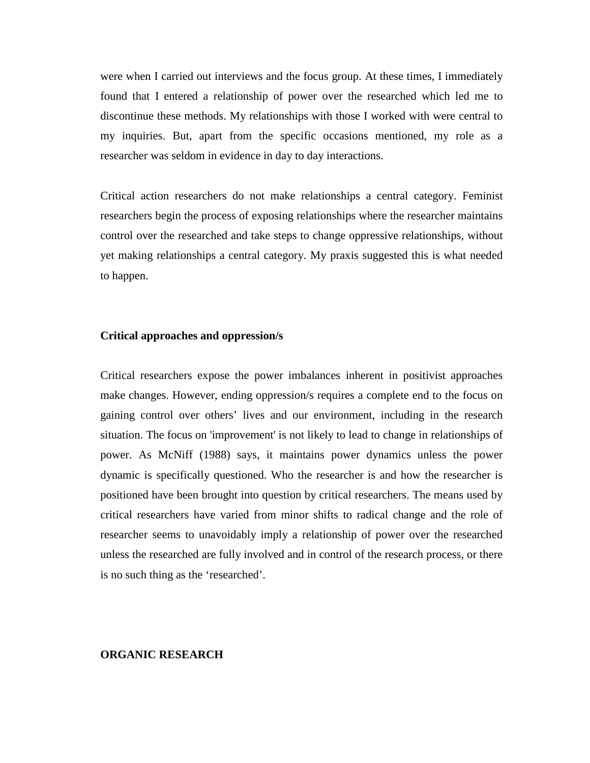were when I carried out interviews and the focus group. At these times, I immediately found that I entered a relationship of power over the researched which led me to discontinue these methods. My relationships with those I worked with were central to my inquiries. But, apart from the specific occasions mentioned, my role as a researcher was seldom in evidence in day to day interactions.

Critical action researchers do not make relationships a central category. Feminist researchers begin the process of exposing relationships where the researcher maintains control over the researched and take steps to change oppressive relationships, without yet making relationships a central category. My praxis suggested this is what needed to happen.

### **Critical approaches and oppression/s**

Critical researchers expose the power imbalances inherent in positivist approaches make changes. However, ending oppression/s requires a complete end to the focus on gaining control over others' lives and our environment, including in the research situation. The focus on 'improvement' is not likely to lead to change in relationships of power. As McNiff (1988) says, it maintains power dynamics unless the power dynamic is specifically questioned. Who the researcher is and how the researcher is positioned have been brought into question by critical researchers. The means used by critical researchers have varied from minor shifts to radical change and the role of researcher seems to unavoidably imply a relationship of power over the researched unless the researched are fully involved and in control of the research process, or there is no such thing as the 'researched'.

#### **ORGANIC RESEARCH**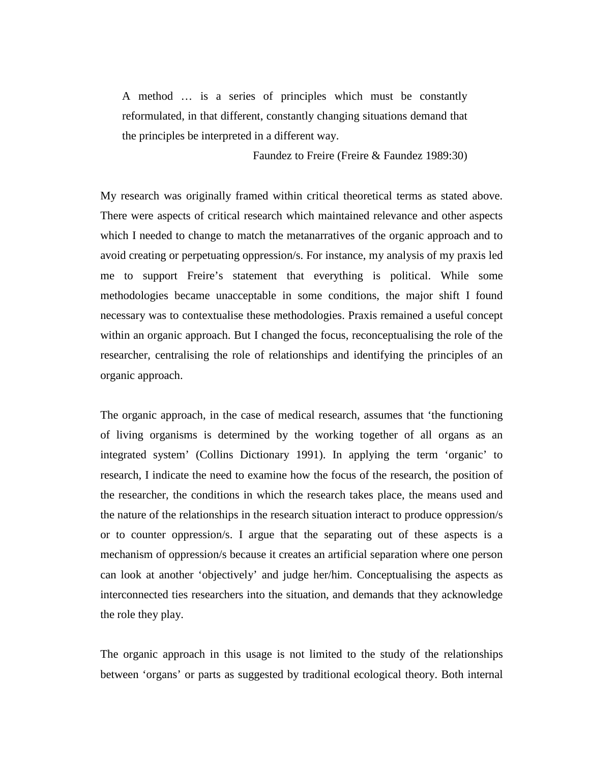A method … is a series of principles which must be constantly reformulated, in that different, constantly changing situations demand that the principles be interpreted in a different way.

Faundez to Freire (Freire & Faundez 1989:30)

My research was originally framed within critical theoretical terms as stated above. There were aspects of critical research which maintained relevance and other aspects which I needed to change to match the metanarratives of the organic approach and to avoid creating or perpetuating oppression/s. For instance, my analysis of my praxis led me to support Freire's statement that everything is political. While some methodologies became unacceptable in some conditions, the major shift I found necessary was to contextualise these methodologies. Praxis remained a useful concept within an organic approach. But I changed the focus, reconceptualising the role of the researcher, centralising the role of relationships and identifying the principles of an organic approach.

The organic approach, in the case of medical research, assumes that 'the functioning of living organisms is determined by the working together of all organs as an integrated system' (Collins Dictionary 1991). In applying the term 'organic' to research, I indicate the need to examine how the focus of the research, the position of the researcher, the conditions in which the research takes place, the means used and the nature of the relationships in the research situation interact to produce oppression/s or to counter oppression/s. I argue that the separating out of these aspects is a mechanism of oppression/s because it creates an artificial separation where one person can look at another 'objectively' and judge her/him. Conceptualising the aspects as interconnected ties researchers into the situation, and demands that they acknowledge the role they play.

The organic approach in this usage is not limited to the study of the relationships between 'organs' or parts as suggested by traditional ecological theory. Both internal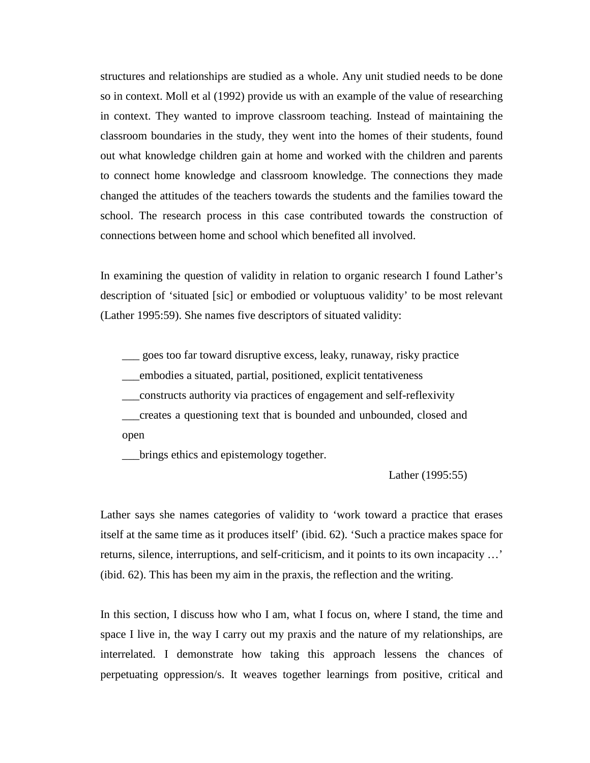structures and relationships are studied as a whole. Any unit studied needs to be done so in context. Moll et al (1992) provide us with an example of the value of researching in context. They wanted to improve classroom teaching. Instead of maintaining the classroom boundaries in the study, they went into the homes of their students, found out what knowledge children gain at home and worked with the children and parents to connect home knowledge and classroom knowledge. The connections they made changed the attitudes of the teachers towards the students and the families toward the school. The research process in this case contributed towards the construction of connections between home and school which benefited all involved.

In examining the question of validity in relation to organic research I found Lather's description of 'situated [sic] or embodied or voluptuous validity' to be most relevant (Lather 1995:59). She names five descriptors of situated validity:

\_\_\_ goes too far toward disruptive excess, leaky, runaway, risky practice

\_\_\_embodies a situated, partial, positioned, explicit tentativeness

\_\_\_constructs authority via practices of engagement and self-reflexivity

\_\_\_creates a questioning text that is bounded and unbounded, closed and open

\_\_\_brings ethics and epistemology together.

Lather (1995:55)

Lather says she names categories of validity to 'work toward a practice that erases itself at the same time as it produces itself' (ibid. 62). 'Such a practice makes space for returns, silence, interruptions, and self-criticism, and it points to its own incapacity …' (ibid. 62). This has been my aim in the praxis, the reflection and the writing.

In this section, I discuss how who I am, what I focus on, where I stand, the time and space I live in, the way I carry out my praxis and the nature of my relationships, are interrelated. I demonstrate how taking this approach lessens the chances of perpetuating oppression/s. It weaves together learnings from positive, critical and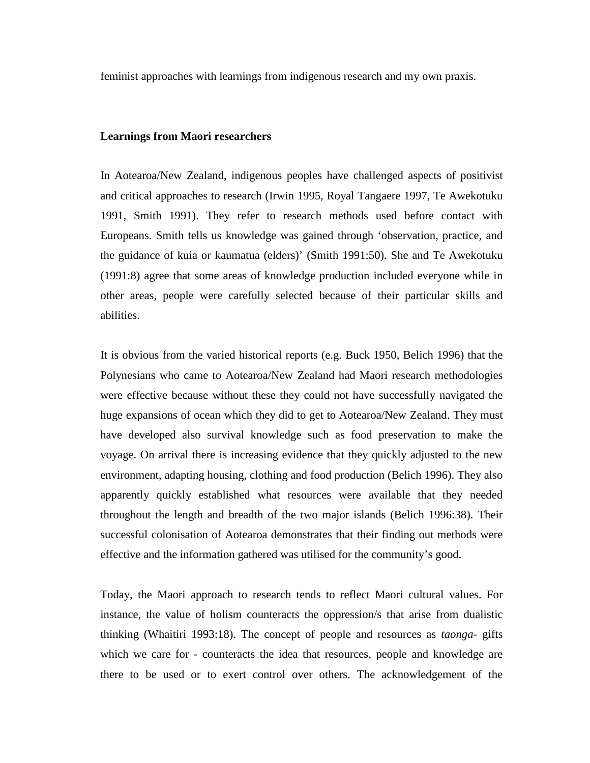feminist approaches with learnings from indigenous research and my own praxis.

#### **Learnings from Maori researchers**

In Aotearoa/New Zealand, indigenous peoples have challenged aspects of positivist and critical approaches to research (Irwin 1995, Royal Tangaere 1997, Te Awekotuku 1991, Smith 1991). They refer to research methods used before contact with Europeans. Smith tells us knowledge was gained through 'observation, practice, and the guidance of kuia or kaumatua (elders)' (Smith 1991:50). She and Te Awekotuku (1991:8) agree that some areas of knowledge production included everyone while in other areas, people were carefully selected because of their particular skills and abilities.

It is obvious from the varied historical reports (e.g. Buck 1950, Belich 1996) that the Polynesians who came to Aotearoa/New Zealand had Maori research methodologies were effective because without these they could not have successfully navigated the huge expansions of ocean which they did to get to Aotearoa/New Zealand. They must have developed also survival knowledge such as food preservation to make the voyage. On arrival there is increasing evidence that they quickly adjusted to the new environment, adapting housing, clothing and food production (Belich 1996). They also apparently quickly established what resources were available that they needed throughout the length and breadth of the two major islands (Belich 1996:38). Their successful colonisation of Aotearoa demonstrates that their finding out methods were effective and the information gathered was utilised for the community's good.

Today, the Maori approach to research tends to reflect Maori cultural values. For instance, the value of holism counteracts the oppression/s that arise from dualistic thinking (Whaitiri 1993:18). The concept of people and resources as *taonga*- gifts which we care for - counteracts the idea that resources, people and knowledge are there to be used or to exert control over others. The acknowledgement of the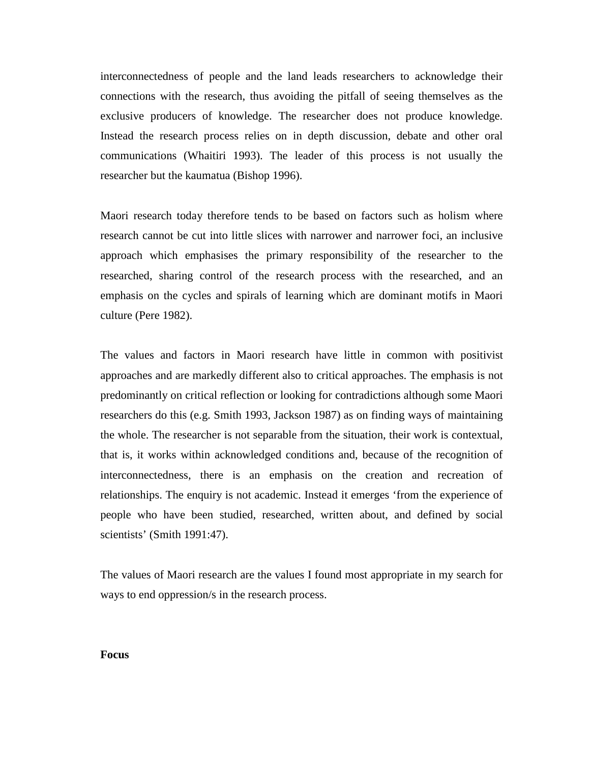interconnectedness of people and the land leads researchers to acknowledge their connections with the research, thus avoiding the pitfall of seeing themselves as the exclusive producers of knowledge. The researcher does not produce knowledge. Instead the research process relies on in depth discussion, debate and other oral communications (Whaitiri 1993). The leader of this process is not usually the researcher but the kaumatua (Bishop 1996).

Maori research today therefore tends to be based on factors such as holism where research cannot be cut into little slices with narrower and narrower foci, an inclusive approach which emphasises the primary responsibility of the researcher to the researched, sharing control of the research process with the researched, and an emphasis on the cycles and spirals of learning which are dominant motifs in Maori culture (Pere 1982).

The values and factors in Maori research have little in common with positivist approaches and are markedly different also to critical approaches. The emphasis is not predominantly on critical reflection or looking for contradictions although some Maori researchers do this (e.g. Smith 1993, Jackson 1987) as on finding ways of maintaining the whole. The researcher is not separable from the situation, their work is contextual, that is, it works within acknowledged conditions and, because of the recognition of interconnectedness, there is an emphasis on the creation and recreation of relationships. The enquiry is not academic. Instead it emerges 'from the experience of people who have been studied, researched, written about, and defined by social scientists' (Smith 1991:47).

The values of Maori research are the values I found most appropriate in my search for ways to end oppression/s in the research process.

### **Focus**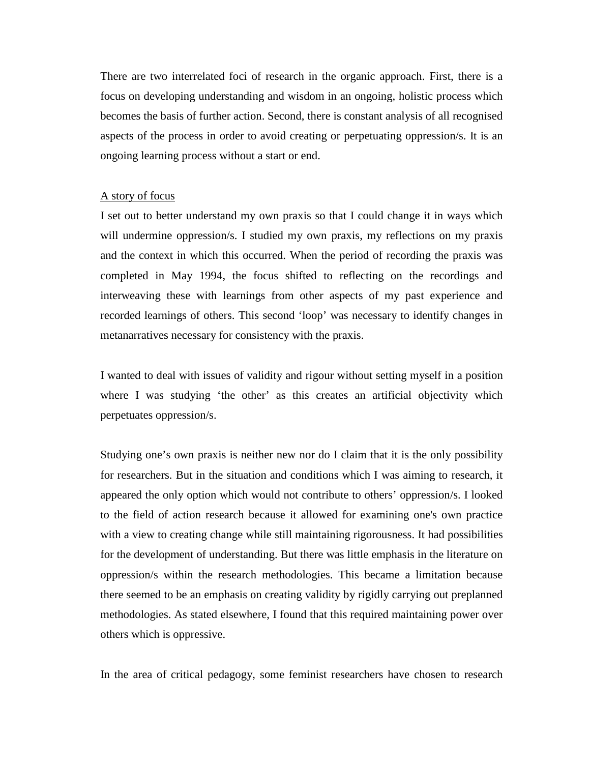There are two interrelated foci of research in the organic approach. First, there is a focus on developing understanding and wisdom in an ongoing, holistic process which becomes the basis of further action. Second, there is constant analysis of all recognised aspects of the process in order to avoid creating or perpetuating oppression/s. It is an ongoing learning process without a start or end.

#### A story of focus

I set out to better understand my own praxis so that I could change it in ways which will undermine oppression/s. I studied my own praxis, my reflections on my praxis and the context in which this occurred. When the period of recording the praxis was completed in May 1994, the focus shifted to reflecting on the recordings and interweaving these with learnings from other aspects of my past experience and recorded learnings of others. This second 'loop' was necessary to identify changes in metanarratives necessary for consistency with the praxis.

I wanted to deal with issues of validity and rigour without setting myself in a position where I was studying 'the other' as this creates an artificial objectivity which perpetuates oppression/s.

Studying one's own praxis is neither new nor do I claim that it is the only possibility for researchers. But in the situation and conditions which I was aiming to research, it appeared the only option which would not contribute to others' oppression/s. I looked to the field of action research because it allowed for examining one's own practice with a view to creating change while still maintaining rigorousness. It had possibilities for the development of understanding. But there was little emphasis in the literature on oppression/s within the research methodologies. This became a limitation because there seemed to be an emphasis on creating validity by rigidly carrying out preplanned methodologies. As stated elsewhere, I found that this required maintaining power over others which is oppressive.

In the area of critical pedagogy, some feminist researchers have chosen to research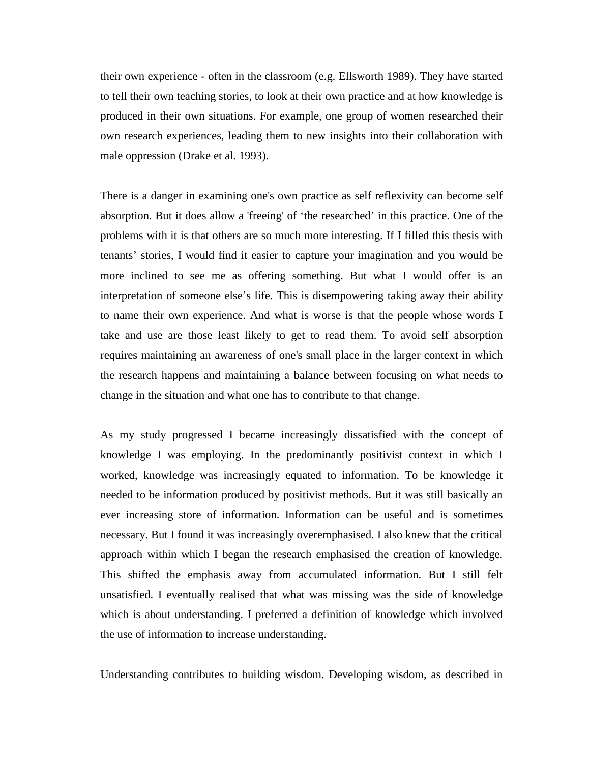their own experience - often in the classroom (e.g. Ellsworth 1989). They have started to tell their own teaching stories, to look at their own practice and at how knowledge is produced in their own situations. For example, one group of women researched their own research experiences, leading them to new insights into their collaboration with male oppression (Drake et al. 1993).

There is a danger in examining one's own practice as self reflexivity can become self absorption. But it does allow a 'freeing' of 'the researched' in this practice. One of the problems with it is that others are so much more interesting. If I filled this thesis with tenants' stories, I would find it easier to capture your imagination and you would be more inclined to see me as offering something. But what I would offer is an interpretation of someone else's life. This is disempowering taking away their ability to name their own experience. And what is worse is that the people whose words I take and use are those least likely to get to read them. To avoid self absorption requires maintaining an awareness of one's small place in the larger context in which the research happens and maintaining a balance between focusing on what needs to change in the situation and what one has to contribute to that change.

As my study progressed I became increasingly dissatisfied with the concept of knowledge I was employing. In the predominantly positivist context in which I worked, knowledge was increasingly equated to information. To be knowledge it needed to be information produced by positivist methods. But it was still basically an ever increasing store of information. Information can be useful and is sometimes necessary. But I found it was increasingly overemphasised. I also knew that the critical approach within which I began the research emphasised the creation of knowledge. This shifted the emphasis away from accumulated information. But I still felt unsatisfied. I eventually realised that what was missing was the side of knowledge which is about understanding. I preferred a definition of knowledge which involved the use of information to increase understanding.

Understanding contributes to building wisdom. Developing wisdom, as described in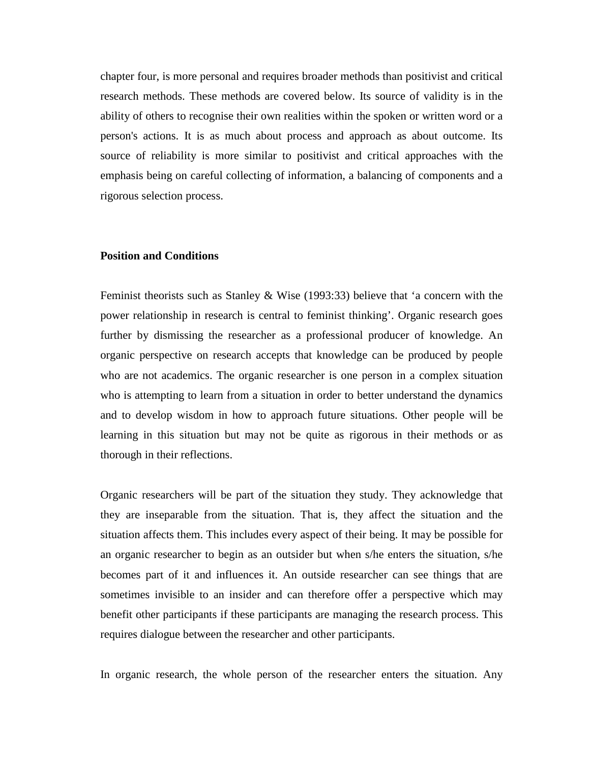chapter four, is more personal and requires broader methods than positivist and critical research methods. These methods are covered below. Its source of validity is in the ability of others to recognise their own realities within the spoken or written word or a person's actions. It is as much about process and approach as about outcome. Its source of reliability is more similar to positivist and critical approaches with the emphasis being on careful collecting of information, a balancing of components and a rigorous selection process.

### **Position and Conditions**

Feminist theorists such as Stanley & Wise  $(1993:33)$  believe that 'a concern with the power relationship in research is central to feminist thinking'. Organic research goes further by dismissing the researcher as a professional producer of knowledge. An organic perspective on research accepts that knowledge can be produced by people who are not academics. The organic researcher is one person in a complex situation who is attempting to learn from a situation in order to better understand the dynamics and to develop wisdom in how to approach future situations. Other people will be learning in this situation but may not be quite as rigorous in their methods or as thorough in their reflections.

Organic researchers will be part of the situation they study. They acknowledge that they are inseparable from the situation. That is, they affect the situation and the situation affects them. This includes every aspect of their being. It may be possible for an organic researcher to begin as an outsider but when s/he enters the situation, s/he becomes part of it and influences it. An outside researcher can see things that are sometimes invisible to an insider and can therefore offer a perspective which may benefit other participants if these participants are managing the research process. This requires dialogue between the researcher and other participants.

In organic research, the whole person of the researcher enters the situation. Any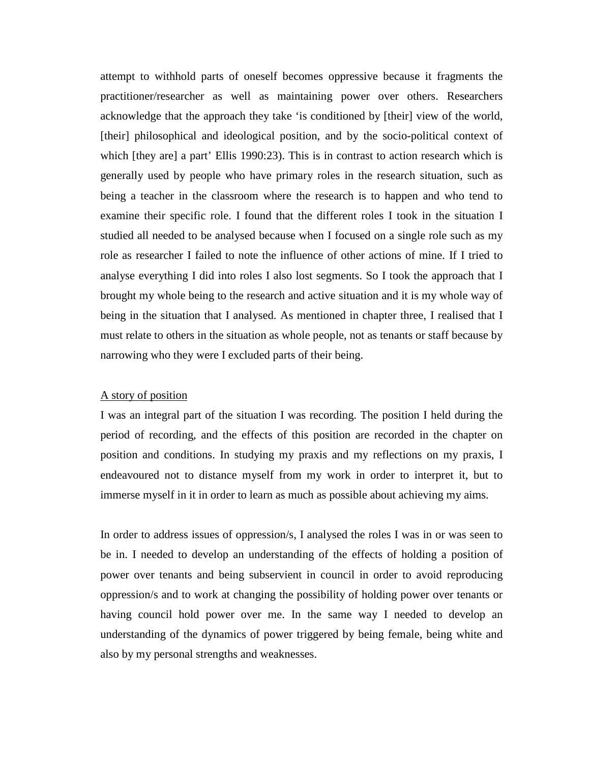attempt to withhold parts of oneself becomes oppressive because it fragments the practitioner/researcher as well as maintaining power over others. Researchers acknowledge that the approach they take 'is conditioned by [their] view of the world, [their] philosophical and ideological position, and by the socio-political context of which [they are] a part' Ellis 1990:23). This is in contrast to action research which is generally used by people who have primary roles in the research situation, such as being a teacher in the classroom where the research is to happen and who tend to examine their specific role. I found that the different roles I took in the situation I studied all needed to be analysed because when I focused on a single role such as my role as researcher I failed to note the influence of other actions of mine. If I tried to analyse everything I did into roles I also lost segments. So I took the approach that I brought my whole being to the research and active situation and it is my whole way of being in the situation that I analysed. As mentioned in chapter three, I realised that I must relate to others in the situation as whole people, not as tenants or staff because by narrowing who they were I excluded parts of their being.

#### A story of position

I was an integral part of the situation I was recording. The position I held during the period of recording, and the effects of this position are recorded in the chapter on position and conditions. In studying my praxis and my reflections on my praxis, I endeavoured not to distance myself from my work in order to interpret it, but to immerse myself in it in order to learn as much as possible about achieving my aims.

In order to address issues of oppression/s, I analysed the roles I was in or was seen to be in. I needed to develop an understanding of the effects of holding a position of power over tenants and being subservient in council in order to avoid reproducing oppression/s and to work at changing the possibility of holding power over tenants or having council hold power over me. In the same way I needed to develop an understanding of the dynamics of power triggered by being female, being white and also by my personal strengths and weaknesses.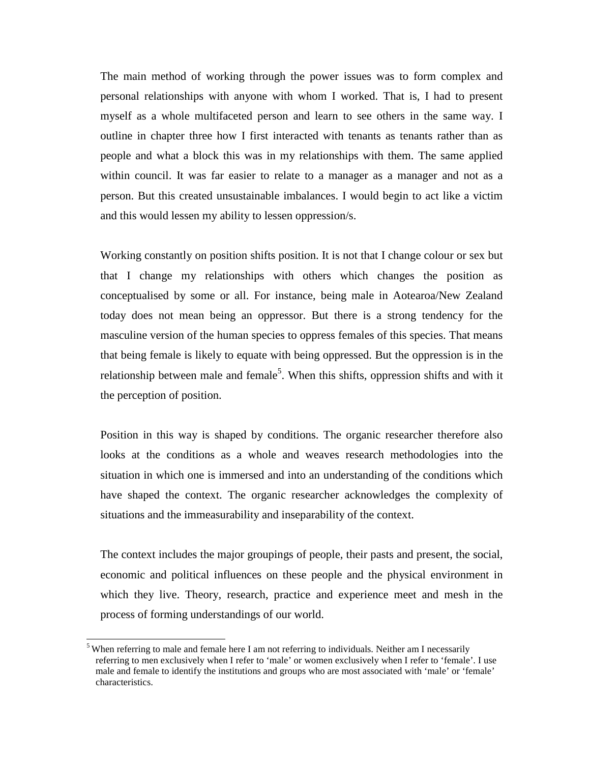The main method of working through the power issues was to form complex and personal relationships with anyone with whom I worked. That is, I had to present myself as a whole multifaceted person and learn to see others in the same way. I outline in chapter three how I first interacted with tenants as tenants rather than as people and what a block this was in my relationships with them. The same applied within council. It was far easier to relate to a manager as a manager and not as a person. But this created unsustainable imbalances. I would begin to act like a victim and this would lessen my ability to lessen oppression/s.

Working constantly on position shifts position. It is not that I change colour or sex but that I change my relationships with others which changes the position as conceptualised by some or all. For instance, being male in Aotearoa/New Zealand today does not mean being an oppressor. But there is a strong tendency for the masculine version of the human species to oppress females of this species. That means that being female is likely to equate with being oppressed. But the oppression is in the relationship between male and female<sup>5</sup>. When this shifts, oppression shifts and with it the perception of position.

Position in this way is shaped by conditions. The organic researcher therefore also looks at the conditions as a whole and weaves research methodologies into the situation in which one is immersed and into an understanding of the conditions which have shaped the context. The organic researcher acknowledges the complexity of situations and the immeasurability and inseparability of the context.

The context includes the major groupings of people, their pasts and present, the social, economic and political influences on these people and the physical environment in which they live. Theory, research, practice and experience meet and mesh in the process of forming understandings of our world.

When referring to male and female here I am not referring to individuals. Neither am I necessarily referring to men exclusively when I refer to 'male' or women exclusively when I refer to 'female'. I use male and female to identify the institutions and groups who are most associated with 'male' or 'female' characteristics.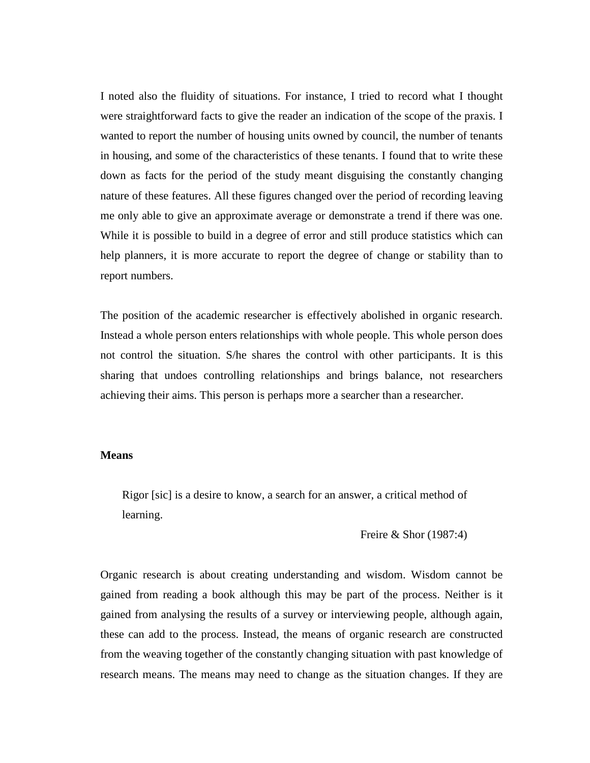I noted also the fluidity of situations. For instance, I tried to record what I thought were straightforward facts to give the reader an indication of the scope of the praxis. I wanted to report the number of housing units owned by council, the number of tenants in housing, and some of the characteristics of these tenants. I found that to write these down as facts for the period of the study meant disguising the constantly changing nature of these features. All these figures changed over the period of recording leaving me only able to give an approximate average or demonstrate a trend if there was one. While it is possible to build in a degree of error and still produce statistics which can help planners, it is more accurate to report the degree of change or stability than to report numbers.

The position of the academic researcher is effectively abolished in organic research. Instead a whole person enters relationships with whole people. This whole person does not control the situation. S/he shares the control with other participants. It is this sharing that undoes controlling relationships and brings balance, not researchers achieving their aims. This person is perhaps more a searcher than a researcher.

### **Means**

Rigor [sic] is a desire to know, a search for an answer, a critical method of learning.

Freire & Shor (1987:4)

Organic research is about creating understanding and wisdom. Wisdom cannot be gained from reading a book although this may be part of the process. Neither is it gained from analysing the results of a survey or interviewing people, although again, these can add to the process. Instead, the means of organic research are constructed from the weaving together of the constantly changing situation with past knowledge of research means. The means may need to change as the situation changes. If they are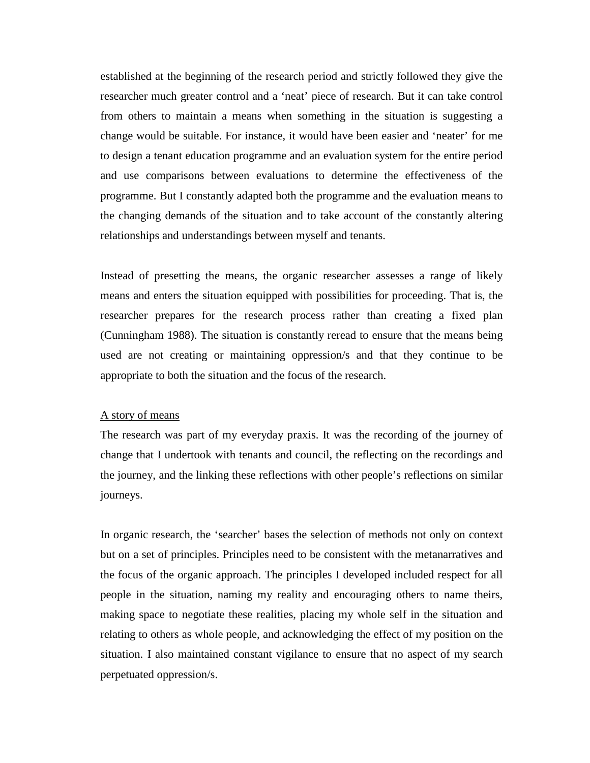established at the beginning of the research period and strictly followed they give the researcher much greater control and a 'neat' piece of research. But it can take control from others to maintain a means when something in the situation is suggesting a change would be suitable. For instance, it would have been easier and 'neater' for me to design a tenant education programme and an evaluation system for the entire period and use comparisons between evaluations to determine the effectiveness of the programme. But I constantly adapted both the programme and the evaluation means to the changing demands of the situation and to take account of the constantly altering relationships and understandings between myself and tenants.

Instead of presetting the means, the organic researcher assesses a range of likely means and enters the situation equipped with possibilities for proceeding. That is, the researcher prepares for the research process rather than creating a fixed plan (Cunningham 1988). The situation is constantly reread to ensure that the means being used are not creating or maintaining oppression/s and that they continue to be appropriate to both the situation and the focus of the research.

# A story of means

The research was part of my everyday praxis. It was the recording of the journey of change that I undertook with tenants and council, the reflecting on the recordings and the journey, and the linking these reflections with other people's reflections on similar journeys.

In organic research, the 'searcher' bases the selection of methods not only on context but on a set of principles. Principles need to be consistent with the metanarratives and the focus of the organic approach. The principles I developed included respect for all people in the situation, naming my reality and encouraging others to name theirs, making space to negotiate these realities, placing my whole self in the situation and relating to others as whole people, and acknowledging the effect of my position on the situation. I also maintained constant vigilance to ensure that no aspect of my search perpetuated oppression/s.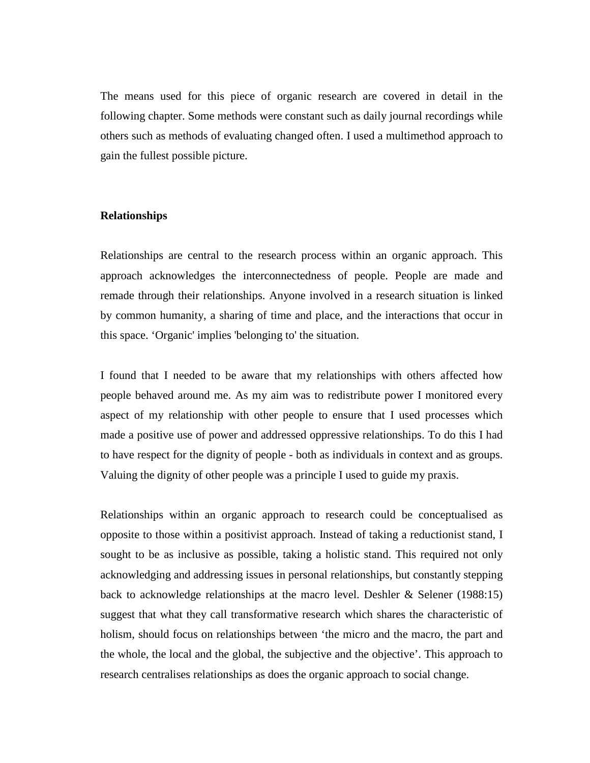The means used for this piece of organic research are covered in detail in the following chapter. Some methods were constant such as daily journal recordings while others such as methods of evaluating changed often. I used a multimethod approach to gain the fullest possible picture.

#### **Relationships**

Relationships are central to the research process within an organic approach. This approach acknowledges the interconnectedness of people. People are made and remade through their relationships. Anyone involved in a research situation is linked by common humanity, a sharing of time and place, and the interactions that occur in this space. 'Organic' implies 'belonging to' the situation.

I found that I needed to be aware that my relationships with others affected how people behaved around me. As my aim was to redistribute power I monitored every aspect of my relationship with other people to ensure that I used processes which made a positive use of power and addressed oppressive relationships. To do this I had to have respect for the dignity of people - both as individuals in context and as groups. Valuing the dignity of other people was a principle I used to guide my praxis.

Relationships within an organic approach to research could be conceptualised as opposite to those within a positivist approach. Instead of taking a reductionist stand, I sought to be as inclusive as possible, taking a holistic stand. This required not only acknowledging and addressing issues in personal relationships, but constantly stepping back to acknowledge relationships at the macro level. Deshler & Selener (1988:15) suggest that what they call transformative research which shares the characteristic of holism, should focus on relationships between 'the micro and the macro, the part and the whole, the local and the global, the subjective and the objective'. This approach to research centralises relationships as does the organic approach to social change.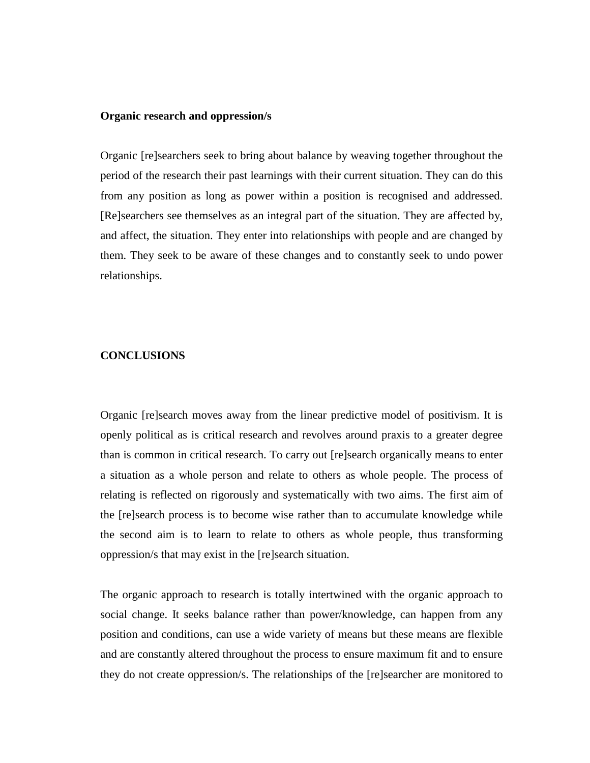### **Organic research and oppression/s**

Organic [re]searchers seek to bring about balance by weaving together throughout the period of the research their past learnings with their current situation. They can do this from any position as long as power within a position is recognised and addressed. [Re]searchers see themselves as an integral part of the situation. They are affected by, and affect, the situation. They enter into relationships with people and are changed by them. They seek to be aware of these changes and to constantly seek to undo power relationships.

### **CONCLUSIONS**

Organic [re]search moves away from the linear predictive model of positivism. It is openly political as is critical research and revolves around praxis to a greater degree than is common in critical research. To carry out [re]search organically means to enter a situation as a whole person and relate to others as whole people. The process of relating is reflected on rigorously and systematically with two aims. The first aim of the [re]search process is to become wise rather than to accumulate knowledge while the second aim is to learn to relate to others as whole people, thus transforming oppression/s that may exist in the [re]search situation.

The organic approach to research is totally intertwined with the organic approach to social change. It seeks balance rather than power/knowledge, can happen from any position and conditions, can use a wide variety of means but these means are flexible and are constantly altered throughout the process to ensure maximum fit and to ensure they do not create oppression/s. The relationships of the [re]searcher are monitored to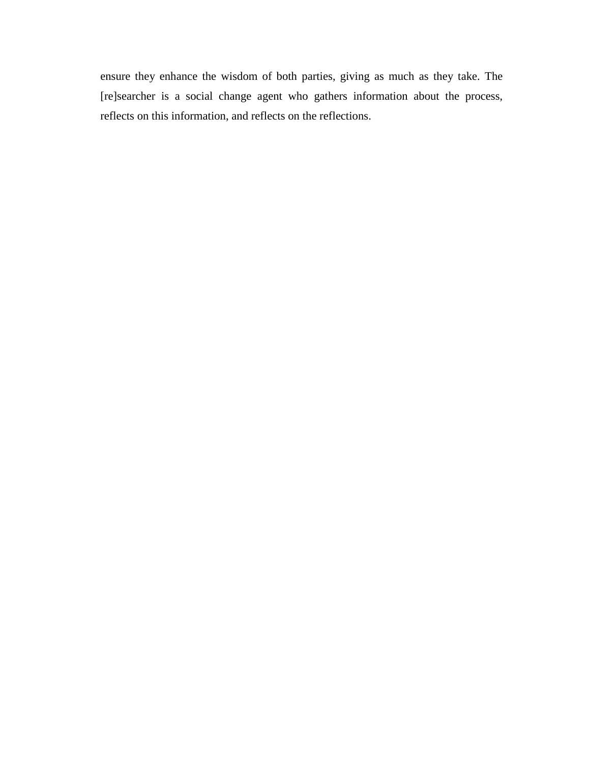ensure they enhance the wisdom of both parties, giving as much as they take. The [re]searcher is a social change agent who gathers information about the process, reflects on this information, and reflects on the reflections.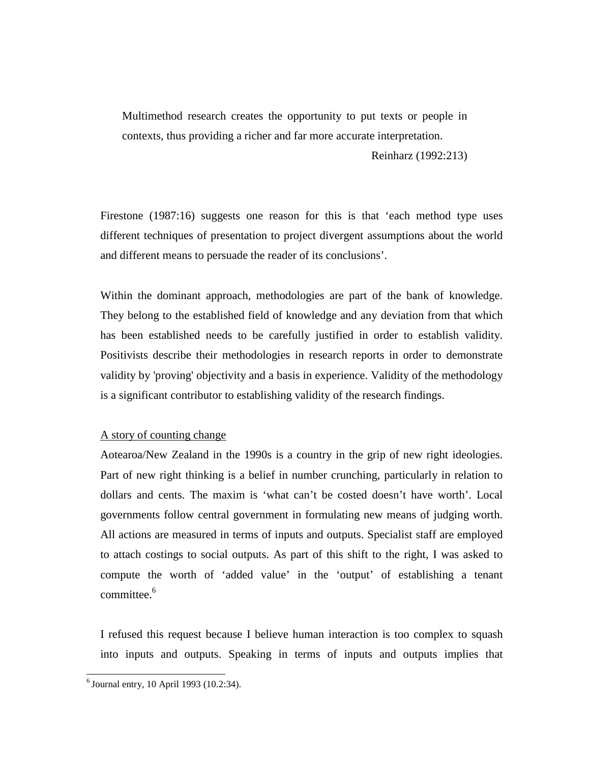Multimethod research creates the opportunity to put texts or people in contexts, thus providing a richer and far more accurate interpretation.

Reinharz (1992:213)

Firestone (1987:16) suggests one reason for this is that 'each method type uses different techniques of presentation to project divergent assumptions about the world and different means to persuade the reader of its conclusions'.

Within the dominant approach, methodologies are part of the bank of knowledge. They belong to the established field of knowledge and any deviation from that which has been established needs to be carefully justified in order to establish validity. Positivists describe their methodologies in research reports in order to demonstrate validity by 'proving' objectivity and a basis in experience. Validity of the methodology is a significant contributor to establishing validity of the research findings.

# A story of counting change

Aotearoa/New Zealand in the 1990s is a country in the grip of new right ideologies. Part of new right thinking is a belief in number crunching, particularly in relation to dollars and cents. The maxim is 'what can't be costed doesn't have worth'. Local governments follow central government in formulating new means of judging worth. All actions are measured in terms of inputs and outputs. Specialist staff are employed to attach costings to social outputs. As part of this shift to the right, I was asked to compute the worth of 'added value' in the 'output' of establishing a tenant committee. $6$ 

I refused this request because I believe human interaction is too complex to squash into inputs and outputs. Speaking in terms of inputs and outputs implies that

 $<sup>6</sup>$  Journal entry, 10 April 1993 (10.2:34).</sup>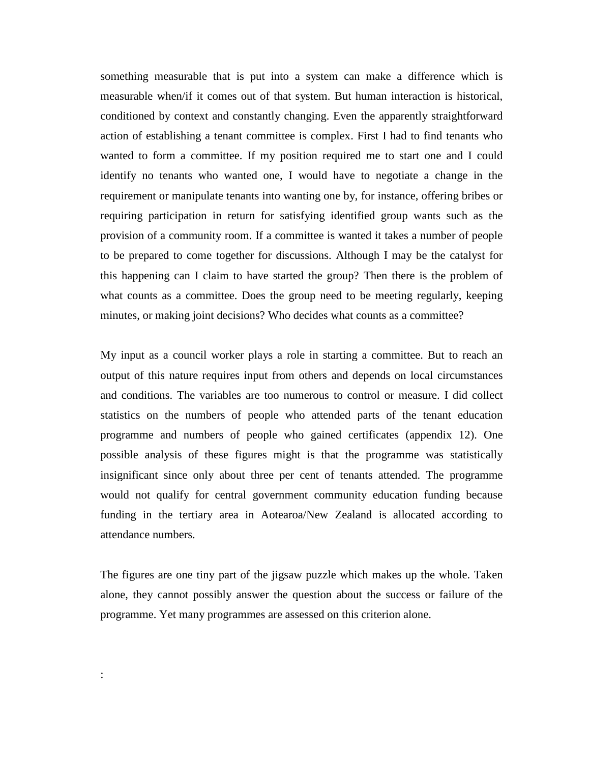something measurable that is put into a system can make a difference which is measurable when/if it comes out of that system. But human interaction is historical, conditioned by context and constantly changing. Even the apparently straightforward action of establishing a tenant committee is complex. First I had to find tenants who wanted to form a committee. If my position required me to start one and I could identify no tenants who wanted one, I would have to negotiate a change in the requirement or manipulate tenants into wanting one by, for instance, offering bribes or requiring participation in return for satisfying identified group wants such as the provision of a community room. If a committee is wanted it takes a number of people to be prepared to come together for discussions. Although I may be the catalyst for this happening can I claim to have started the group? Then there is the problem of what counts as a committee. Does the group need to be meeting regularly, keeping minutes, or making joint decisions? Who decides what counts as a committee?

My input as a council worker plays a role in starting a committee. But to reach an output of this nature requires input from others and depends on local circumstances and conditions. The variables are too numerous to control or measure. I did collect statistics on the numbers of people who attended parts of the tenant education programme and numbers of people who gained certificates (appendix 12). One possible analysis of these figures might is that the programme was statistically insignificant since only about three per cent of tenants attended. The programme would not qualify for central government community education funding because funding in the tertiary area in Aotearoa/New Zealand is allocated according to attendance numbers.

The figures are one tiny part of the jigsaw puzzle which makes up the whole. Taken alone, they cannot possibly answer the question about the success or failure of the programme. Yet many programmes are assessed on this criterion alone.

: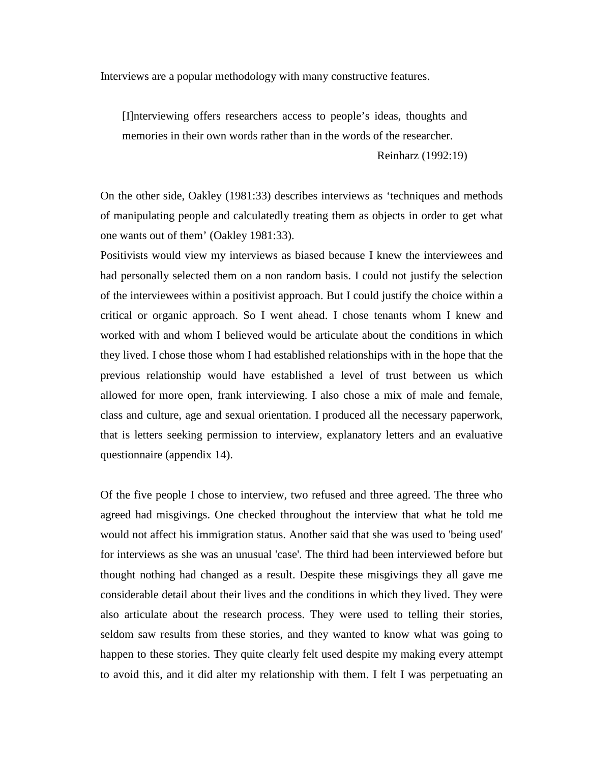Interviews are a popular methodology with many constructive features.

[I]nterviewing offers researchers access to people's ideas, thoughts and memories in their own words rather than in the words of the researcher.

Reinharz (1992:19)

On the other side, Oakley (1981:33) describes interviews as 'techniques and methods of manipulating people and calculatedly treating them as objects in order to get what one wants out of them' (Oakley 1981:33).

Positivists would view my interviews as biased because I knew the interviewees and had personally selected them on a non random basis. I could not justify the selection of the interviewees within a positivist approach. But I could justify the choice within a critical or organic approach. So I went ahead. I chose tenants whom I knew and worked with and whom I believed would be articulate about the conditions in which they lived. I chose those whom I had established relationships with in the hope that the previous relationship would have established a level of trust between us which allowed for more open, frank interviewing. I also chose a mix of male and female, class and culture, age and sexual orientation. I produced all the necessary paperwork, that is letters seeking permission to interview, explanatory letters and an evaluative questionnaire (appendix 14).

Of the five people I chose to interview, two refused and three agreed. The three who agreed had misgivings. One checked throughout the interview that what he told me would not affect his immigration status. Another said that she was used to 'being used' for interviews as she was an unusual 'case'. The third had been interviewed before but thought nothing had changed as a result. Despite these misgivings they all gave me considerable detail about their lives and the conditions in which they lived. They were also articulate about the research process. They were used to telling their stories, seldom saw results from these stories, and they wanted to know what was going to happen to these stories. They quite clearly felt used despite my making every attempt to avoid this, and it did alter my relationship with them. I felt I was perpetuating an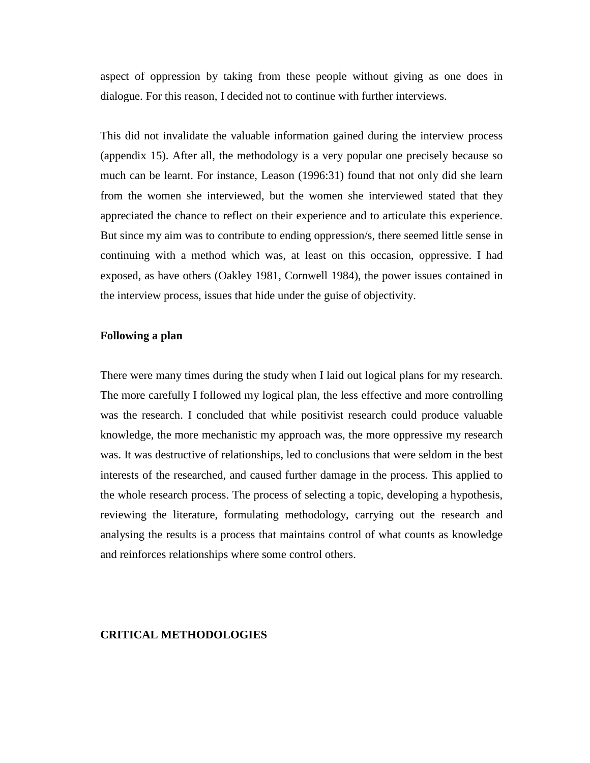aspect of oppression by taking from these people without giving as one does in dialogue. For this reason, I decided not to continue with further interviews.

This did not invalidate the valuable information gained during the interview process (appendix 15). After all, the methodology is a very popular one precisely because so much can be learnt. For instance, Leason (1996:31) found that not only did she learn from the women she interviewed, but the women she interviewed stated that they appreciated the chance to reflect on their experience and to articulate this experience. But since my aim was to contribute to ending oppression/s, there seemed little sense in continuing with a method which was, at least on this occasion, oppressive. I had exposed, as have others (Oakley 1981, Cornwell 1984), the power issues contained in the interview process, issues that hide under the guise of objectivity.

# **Following a plan**

There were many times during the study when I laid out logical plans for my research. The more carefully I followed my logical plan, the less effective and more controlling was the research. I concluded that while positivist research could produce valuable knowledge, the more mechanistic my approach was, the more oppressive my research was. It was destructive of relationships, led to conclusions that were seldom in the best interests of the researched, and caused further damage in the process. This applied to the whole research process. The process of selecting a topic, developing a hypothesis, reviewing the literature, formulating methodology, carrying out the research and analysing the results is a process that maintains control of what counts as knowledge and reinforces relationships where some control others.

#### **CRITICAL METHODOLOGIES**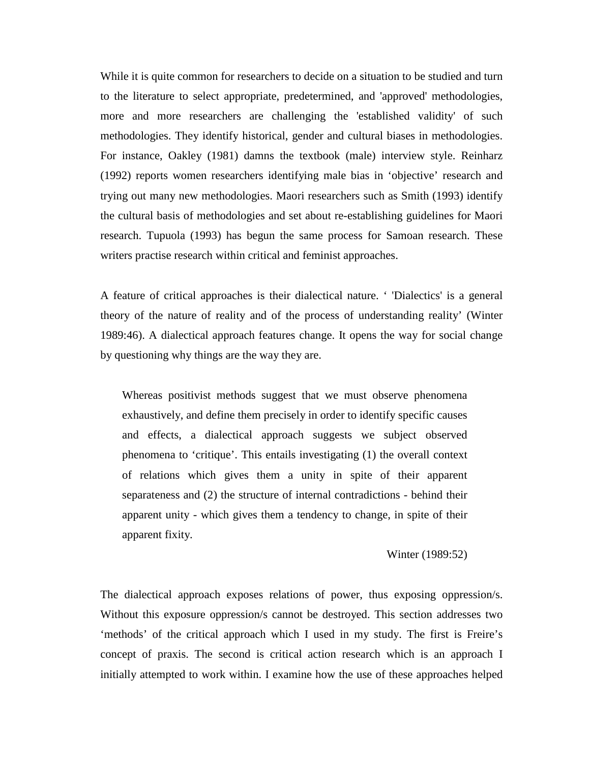While it is quite common for researchers to decide on a situation to be studied and turn to the literature to select appropriate, predetermined, and 'approved' methodologies, more and more researchers are challenging the 'established validity' of such methodologies. They identify historical, gender and cultural biases in methodologies. For instance, Oakley (1981) damns the textbook (male) interview style. Reinharz (1992) reports women researchers identifying male bias in 'objective' research and trying out many new methodologies. Maori researchers such as Smith (1993) identify the cultural basis of methodologies and set about re-establishing guidelines for Maori research. Tupuola (1993) has begun the same process for Samoan research. These writers practise research within critical and feminist approaches.

A feature of critical approaches is their dialectical nature. ' 'Dialectics' is a general theory of the nature of reality and of the process of understanding reality' (Winter 1989:46). A dialectical approach features change. It opens the way for social change by questioning why things are the way they are.

Whereas positivist methods suggest that we must observe phenomena exhaustively, and define them precisely in order to identify specific causes and effects, a dialectical approach suggests we subject observed phenomena to 'critique'. This entails investigating (1) the overall context of relations which gives them a unity in spite of their apparent separateness and (2) the structure of internal contradictions - behind their apparent unity - which gives them a tendency to change, in spite of their apparent fixity.

#### Winter (1989:52)

The dialectical approach exposes relations of power, thus exposing oppression/s. Without this exposure oppression/s cannot be destroyed. This section addresses two 'methods' of the critical approach which I used in my study. The first is Freire's concept of praxis. The second is critical action research which is an approach I initially attempted to work within. I examine how the use of these approaches helped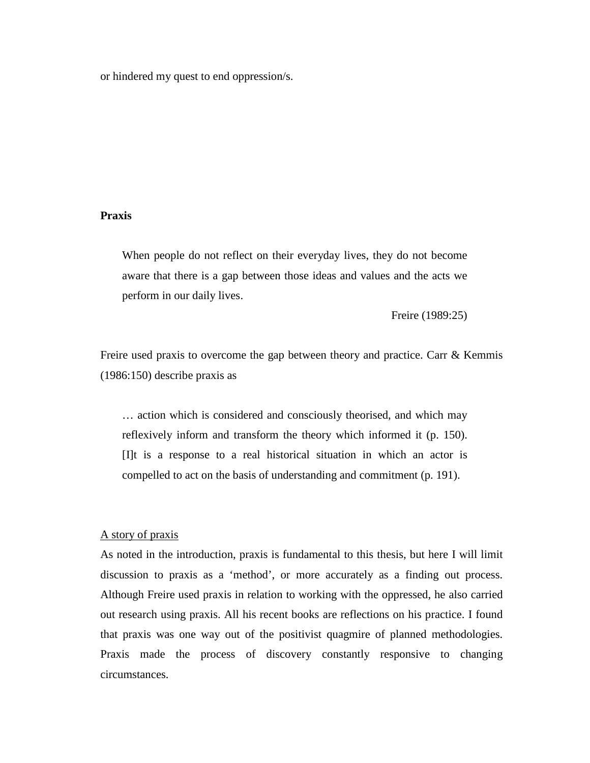or hindered my quest to end oppression/s.

### **Praxis**

When people do not reflect on their everyday lives, they do not become aware that there is a gap between those ideas and values and the acts we perform in our daily lives.

Freire (1989:25)

Freire used praxis to overcome the gap between theory and practice. Carr  $\&$  Kemmis (1986:150) describe praxis as

… action which is considered and consciously theorised, and which may reflexively inform and transform the theory which informed it (p. 150). [I]t is a response to a real historical situation in which an actor is compelled to act on the basis of understanding and commitment (p. 191).

### A story of praxis

As noted in the introduction, praxis is fundamental to this thesis, but here I will limit discussion to praxis as a 'method', or more accurately as a finding out process. Although Freire used praxis in relation to working with the oppressed, he also carried out research using praxis. All his recent books are reflections on his practice. I found that praxis was one way out of the positivist quagmire of planned methodologies. Praxis made the process of discovery constantly responsive to changing circumstances.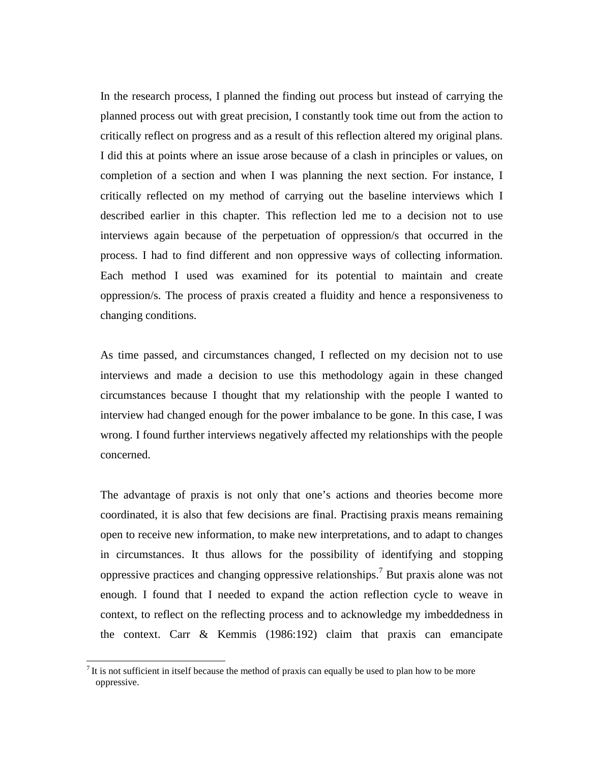In the research process, I planned the finding out process but instead of carrying the planned process out with great precision, I constantly took time out from the action to critically reflect on progress and as a result of this reflection altered my original plans. I did this at points where an issue arose because of a clash in principles or values, on completion of a section and when I was planning the next section. For instance, I critically reflected on my method of carrying out the baseline interviews which I described earlier in this chapter. This reflection led me to a decision not to use interviews again because of the perpetuation of oppression/s that occurred in the process. I had to find different and non oppressive ways of collecting information. Each method I used was examined for its potential to maintain and create oppression/s. The process of praxis created a fluidity and hence a responsiveness to changing conditions.

As time passed, and circumstances changed, I reflected on my decision not to use interviews and made a decision to use this methodology again in these changed circumstances because I thought that my relationship with the people I wanted to interview had changed enough for the power imbalance to be gone. In this case, I was wrong. I found further interviews negatively affected my relationships with the people concerned.

The advantage of praxis is not only that one's actions and theories become more coordinated, it is also that few decisions are final. Practising praxis means remaining open to receive new information, to make new interpretations, and to adapt to changes in circumstances. It thus allows for the possibility of identifying and stopping oppressive practices and changing oppressive relationships.<sup>7</sup> But praxis alone was not enough. I found that I needed to expand the action reflection cycle to weave in context, to reflect on the reflecting process and to acknowledge my imbeddedness in the context. Carr & Kemmis (1986:192) claim that praxis can emancipate

 $<sup>7</sup>$  It is not sufficient in itself because the method of praxis can equally be used to plan how to be more</sup> oppressive.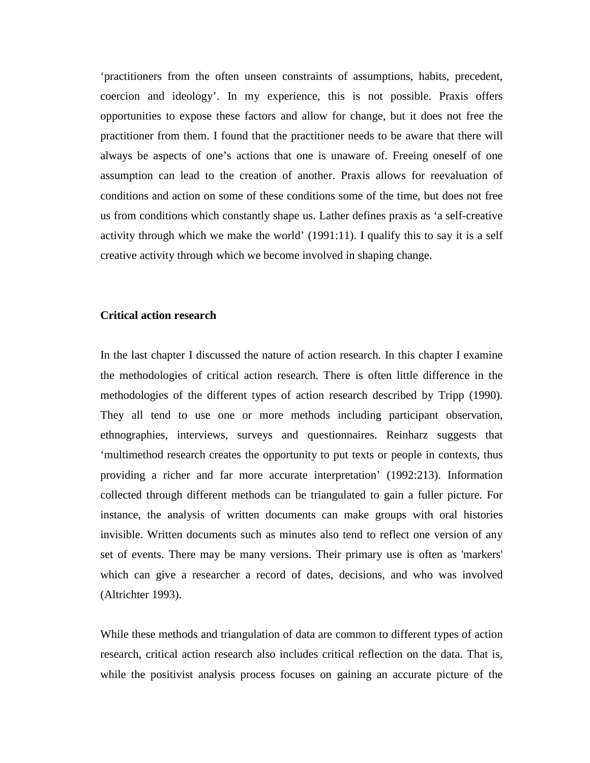'practitioners from the often unseen constraints of assumptions, habits, precedent, coercion and ideology'. In my experience, this is not possible. Praxis offers opportunities to expose these factors and allow for change, but it does not free the practitioner from them. I found that the practitioner needs to be aware that there will always be aspects of one's actions that one is unaware of. Freeing oneself of one assumption can lead to the creation of another. Praxis allows for reevaluation of conditions and action on some of these conditions some of the time, but does not free us from conditions which constantly shape us. Lather defines praxis as 'a self-creative activity through which we make the world' (1991:11). I qualify this to say it is a self creative activity through which we become involved in shaping change.

### **Critical action research**

In the last chapter I discussed the nature of action research. In this chapter I examine the methodologies of critical action research. There is often little difference in the methodologies of the different types of action research described by Tripp (1990). They all tend to use one or more methods including participant observation, ethnographies, interviews, surveys and questionnaires. Reinharz suggests that 'multimethod research creates the opportunity to put texts or people in contexts, thus providing a richer and far more accurate interpretation' (1992:213). Information collected through different methods can be triangulated to gain a fuller picture. For instance, the analysis of written documents can make groups with oral histories invisible. Written documents such as minutes also tend to reflect one version of any set of events. There may be many versions. Their primary use is often as 'markers' which can give a researcher a record of dates, decisions, and who was involved (Altrichter 1993).

While these methods and triangulation of data are common to different types of action research, critical action research also includes critical reflection on the data. That is, while the positivist analysis process focuses on gaining an accurate picture of the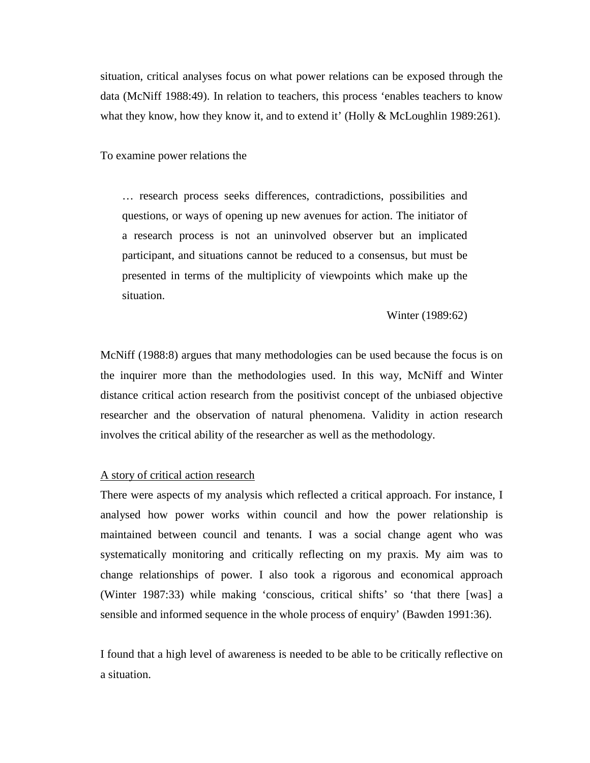situation, critical analyses focus on what power relations can be exposed through the data (McNiff 1988:49). In relation to teachers, this process 'enables teachers to know what they know, how they know it, and to extend it' (Holly & McLoughlin 1989:261).

To examine power relations the

… research process seeks differences, contradictions, possibilities and questions, or ways of opening up new avenues for action. The initiator of a research process is not an uninvolved observer but an implicated participant, and situations cannot be reduced to a consensus, but must be presented in terms of the multiplicity of viewpoints which make up the situation.

Winter (1989:62)

McNiff (1988:8) argues that many methodologies can be used because the focus is on the inquirer more than the methodologies used. In this way, McNiff and Winter distance critical action research from the positivist concept of the unbiased objective researcher and the observation of natural phenomena. Validity in action research involves the critical ability of the researcher as well as the methodology.

#### A story of critical action research

There were aspects of my analysis which reflected a critical approach. For instance, I analysed how power works within council and how the power relationship is maintained between council and tenants. I was a social change agent who was systematically monitoring and critically reflecting on my praxis. My aim was to change relationships of power. I also took a rigorous and economical approach (Winter 1987:33) while making 'conscious, critical shifts' so 'that there [was] a sensible and informed sequence in the whole process of enquiry' (Bawden 1991:36).

I found that a high level of awareness is needed to be able to be critically reflective on a situation.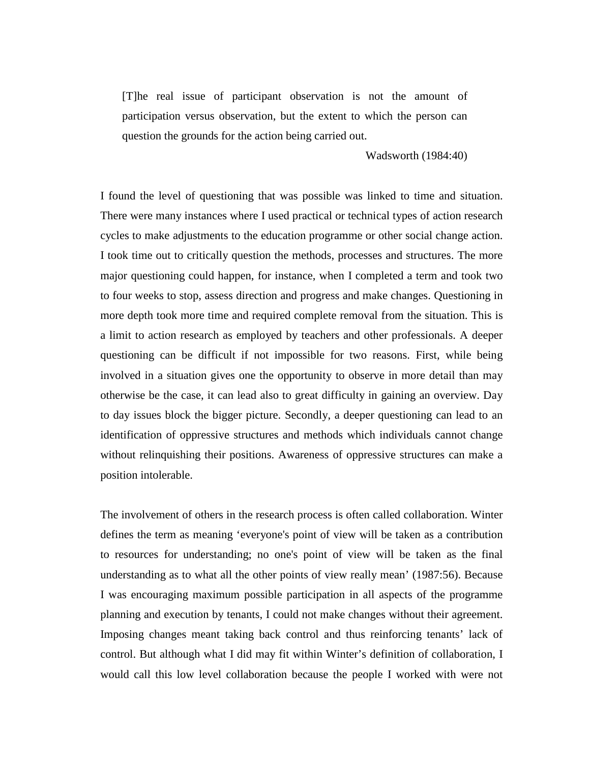[T]he real issue of participant observation is not the amount of participation versus observation, but the extent to which the person can question the grounds for the action being carried out.

#### Wadsworth (1984:40)

I found the level of questioning that was possible was linked to time and situation. There were many instances where I used practical or technical types of action research cycles to make adjustments to the education programme or other social change action. I took time out to critically question the methods, processes and structures. The more major questioning could happen, for instance, when I completed a term and took two to four weeks to stop, assess direction and progress and make changes. Questioning in more depth took more time and required complete removal from the situation. This is a limit to action research as employed by teachers and other professionals. A deeper questioning can be difficult if not impossible for two reasons. First, while being involved in a situation gives one the opportunity to observe in more detail than may otherwise be the case, it can lead also to great difficulty in gaining an overview. Day to day issues block the bigger picture. Secondly, a deeper questioning can lead to an identification of oppressive structures and methods which individuals cannot change without relinquishing their positions. Awareness of oppressive structures can make a position intolerable.

The involvement of others in the research process is often called collaboration. Winter defines the term as meaning 'everyone's point of view will be taken as a contribution to resources for understanding; no one's point of view will be taken as the final understanding as to what all the other points of view really mean' (1987:56). Because I was encouraging maximum possible participation in all aspects of the programme planning and execution by tenants, I could not make changes without their agreement. Imposing changes meant taking back control and thus reinforcing tenants' lack of control. But although what I did may fit within Winter's definition of collaboration, I would call this low level collaboration because the people I worked with were not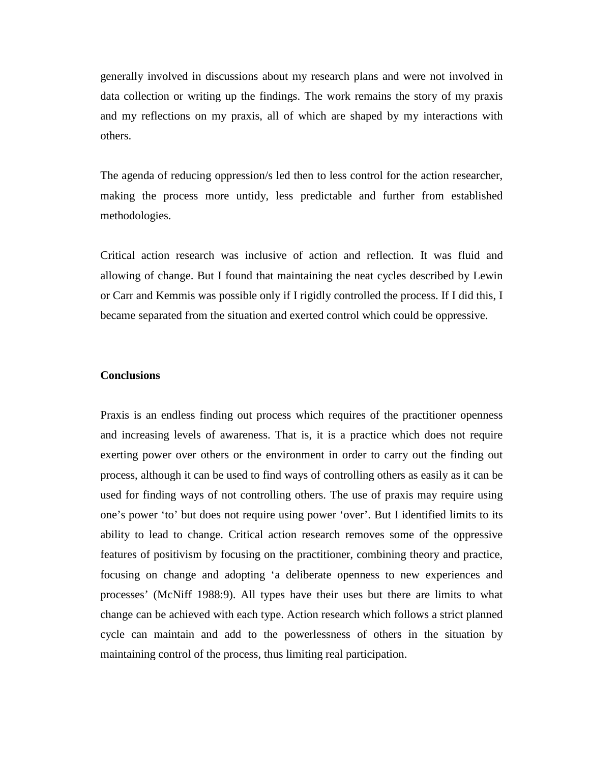generally involved in discussions about my research plans and were not involved in data collection or writing up the findings. The work remains the story of my praxis and my reflections on my praxis, all of which are shaped by my interactions with others.

The agenda of reducing oppression/s led then to less control for the action researcher, making the process more untidy, less predictable and further from established methodologies.

Critical action research was inclusive of action and reflection. It was fluid and allowing of change. But I found that maintaining the neat cycles described by Lewin or Carr and Kemmis was possible only if I rigidly controlled the process. If I did this, I became separated from the situation and exerted control which could be oppressive.

### **Conclusions**

Praxis is an endless finding out process which requires of the practitioner openness and increasing levels of awareness. That is, it is a practice which does not require exerting power over others or the environment in order to carry out the finding out process, although it can be used to find ways of controlling others as easily as it can be used for finding ways of not controlling others. The use of praxis may require using one's power 'to' but does not require using power 'over'. But I identified limits to its ability to lead to change. Critical action research removes some of the oppressive features of positivism by focusing on the practitioner, combining theory and practice, focusing on change and adopting 'a deliberate openness to new experiences and processes' (McNiff 1988:9). All types have their uses but there are limits to what change can be achieved with each type. Action research which follows a strict planned cycle can maintain and add to the powerlessness of others in the situation by maintaining control of the process, thus limiting real participation.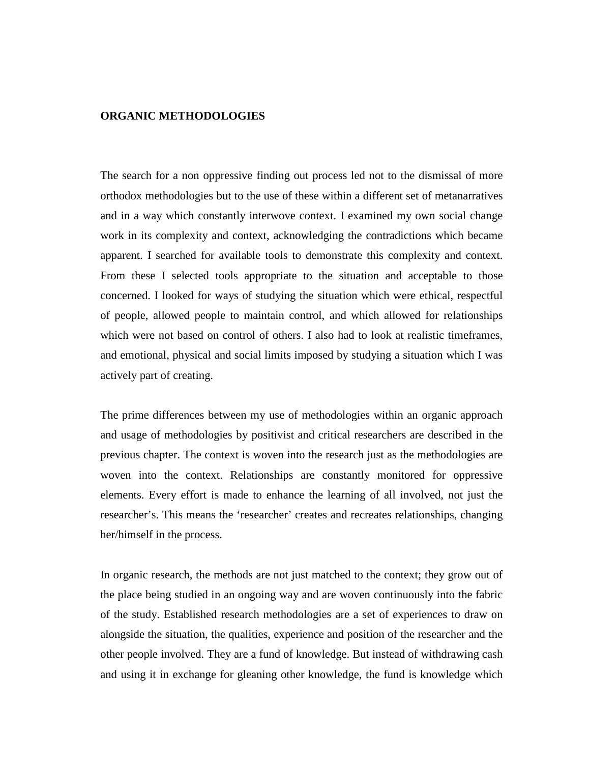### **ORGANIC METHODOLOGIES**

The search for a non oppressive finding out process led not to the dismissal of more orthodox methodologies but to the use of these within a different set of metanarratives and in a way which constantly interwove context. I examined my own social change work in its complexity and context, acknowledging the contradictions which became apparent. I searched for available tools to demonstrate this complexity and context. From these I selected tools appropriate to the situation and acceptable to those concerned. I looked for ways of studying the situation which were ethical, respectful of people, allowed people to maintain control, and which allowed for relationships which were not based on control of others. I also had to look at realistic timeframes, and emotional, physical and social limits imposed by studying a situation which I was actively part of creating.

The prime differences between my use of methodologies within an organic approach and usage of methodologies by positivist and critical researchers are described in the previous chapter. The context is woven into the research just as the methodologies are woven into the context. Relationships are constantly monitored for oppressive elements. Every effort is made to enhance the learning of all involved, not just the researcher's. This means the 'researcher' creates and recreates relationships, changing her/himself in the process.

In organic research, the methods are not just matched to the context; they grow out of the place being studied in an ongoing way and are woven continuously into the fabric of the study. Established research methodologies are a set of experiences to draw on alongside the situation, the qualities, experience and position of the researcher and the other people involved. They are a fund of knowledge. But instead of withdrawing cash and using it in exchange for gleaning other knowledge, the fund is knowledge which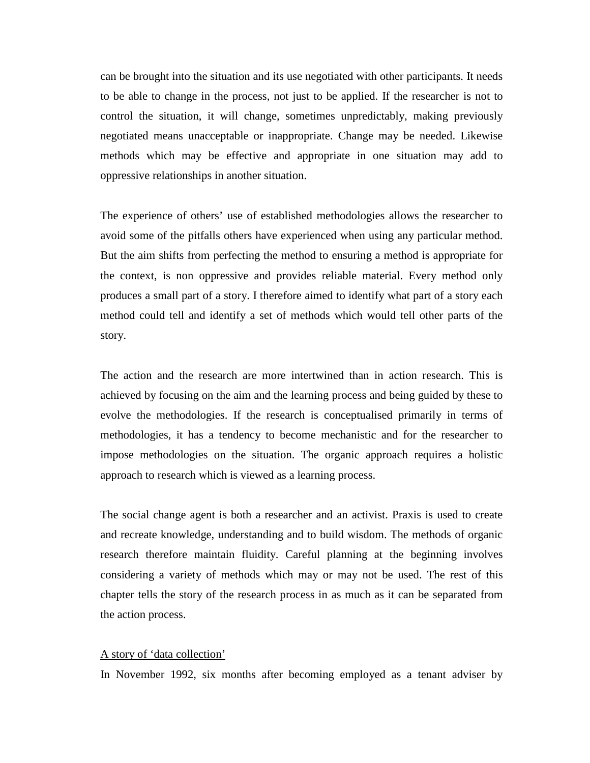can be brought into the situation and its use negotiated with other participants. It needs to be able to change in the process, not just to be applied. If the researcher is not to control the situation, it will change, sometimes unpredictably, making previously negotiated means unacceptable or inappropriate. Change may be needed. Likewise methods which may be effective and appropriate in one situation may add to oppressive relationships in another situation.

The experience of others' use of established methodologies allows the researcher to avoid some of the pitfalls others have experienced when using any particular method. But the aim shifts from perfecting the method to ensuring a method is appropriate for the context, is non oppressive and provides reliable material. Every method only produces a small part of a story. I therefore aimed to identify what part of a story each method could tell and identify a set of methods which would tell other parts of the story.

The action and the research are more intertwined than in action research. This is achieved by focusing on the aim and the learning process and being guided by these to evolve the methodologies. If the research is conceptualised primarily in terms of methodologies, it has a tendency to become mechanistic and for the researcher to impose methodologies on the situation. The organic approach requires a holistic approach to research which is viewed as a learning process.

The social change agent is both a researcher and an activist. Praxis is used to create and recreate knowledge, understanding and to build wisdom. The methods of organic research therefore maintain fluidity. Careful planning at the beginning involves considering a variety of methods which may or may not be used. The rest of this chapter tells the story of the research process in as much as it can be separated from the action process.

### A story of 'data collection'

In November 1992, six months after becoming employed as a tenant adviser by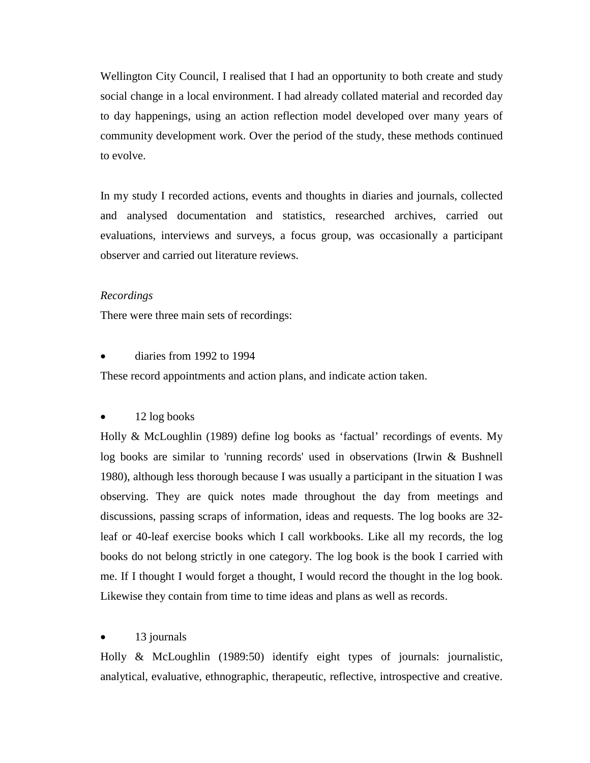Wellington City Council, I realised that I had an opportunity to both create and study social change in a local environment. I had already collated material and recorded day to day happenings, using an action reflection model developed over many years of community development work. Over the period of the study, these methods continued to evolve.

In my study I recorded actions, events and thoughts in diaries and journals, collected and analysed documentation and statistics, researched archives, carried out evaluations, interviews and surveys, a focus group, was occasionally a participant observer and carried out literature reviews.

### *Recordings*

There were three main sets of recordings:

### • diaries from 1992 to 1994

These record appointments and action plans, and indicate action taken.

#### • 12 log books

Holly & McLoughlin (1989) define log books as 'factual' recordings of events. My log books are similar to 'running records' used in observations (Irwin & Bushnell 1980), although less thorough because I was usually a participant in the situation I was observing. They are quick notes made throughout the day from meetings and discussions, passing scraps of information, ideas and requests. The log books are 32 leaf or 40-leaf exercise books which I call workbooks. Like all my records, the log books do not belong strictly in one category. The log book is the book I carried with me. If I thought I would forget a thought, I would record the thought in the log book. Likewise they contain from time to time ideas and plans as well as records.

### 13 journals

Holly & McLoughlin (1989:50) identify eight types of journals: journalistic, analytical, evaluative, ethnographic, therapeutic, reflective, introspective and creative.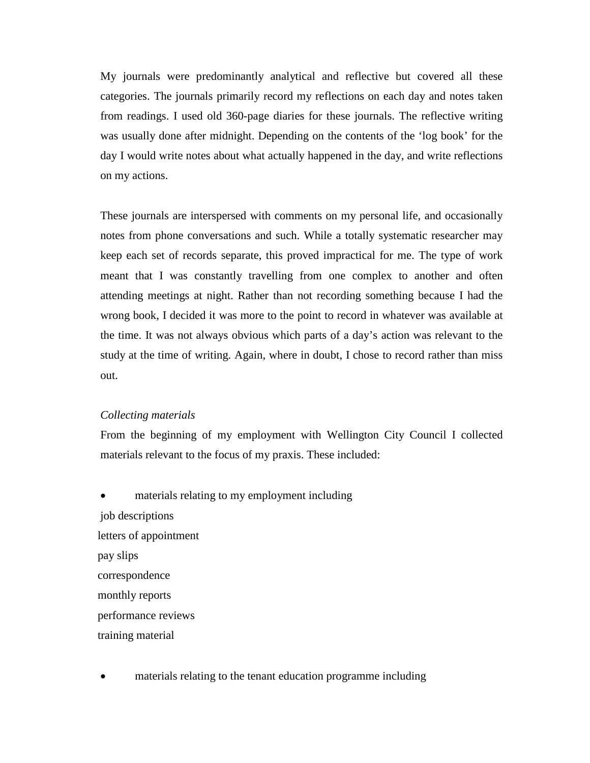My journals were predominantly analytical and reflective but covered all these categories. The journals primarily record my reflections on each day and notes taken from readings. I used old 360-page diaries for these journals. The reflective writing was usually done after midnight. Depending on the contents of the 'log book' for the day I would write notes about what actually happened in the day, and write reflections on my actions.

These journals are interspersed with comments on my personal life, and occasionally notes from phone conversations and such. While a totally systematic researcher may keep each set of records separate, this proved impractical for me. The type of work meant that I was constantly travelling from one complex to another and often attending meetings at night. Rather than not recording something because I had the wrong book, I decided it was more to the point to record in whatever was available at the time. It was not always obvious which parts of a day's action was relevant to the study at the time of writing. Again, where in doubt, I chose to record rather than miss out.

### *Collecting materials*

From the beginning of my employment with Wellington City Council I collected materials relevant to the focus of my praxis. These included:

materials relating to my employment including job descriptions letters of appointment pay slips correspondence monthly reports performance reviews training material

materials relating to the tenant education programme including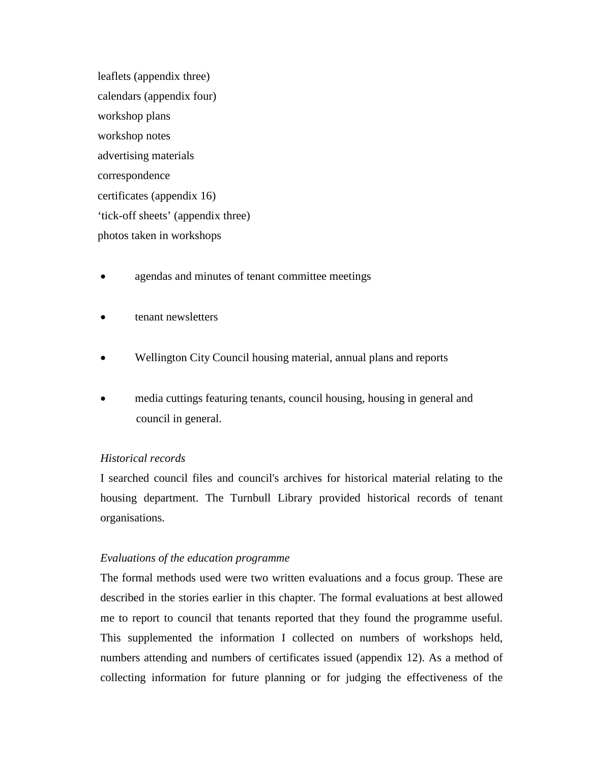leaflets (appendix three) calendars (appendix four) workshop plans workshop notes advertising materials correspondence certificates (appendix 16) 'tick-off sheets' (appendix three) photos taken in workshops

- agendas and minutes of tenant committee meetings
- tenant newsletters
- Wellington City Council housing material, annual plans and reports
- media cuttings featuring tenants, council housing, housing in general and council in general.

# *Historical records*

I searched council files and council's archives for historical material relating to the housing department. The Turnbull Library provided historical records of tenant organisations.

# *Evaluations of the education programme*

The formal methods used were two written evaluations and a focus group. These are described in the stories earlier in this chapter. The formal evaluations at best allowed me to report to council that tenants reported that they found the programme useful. This supplemented the information I collected on numbers of workshops held, numbers attending and numbers of certificates issued (appendix 12). As a method of collecting information for future planning or for judging the effectiveness of the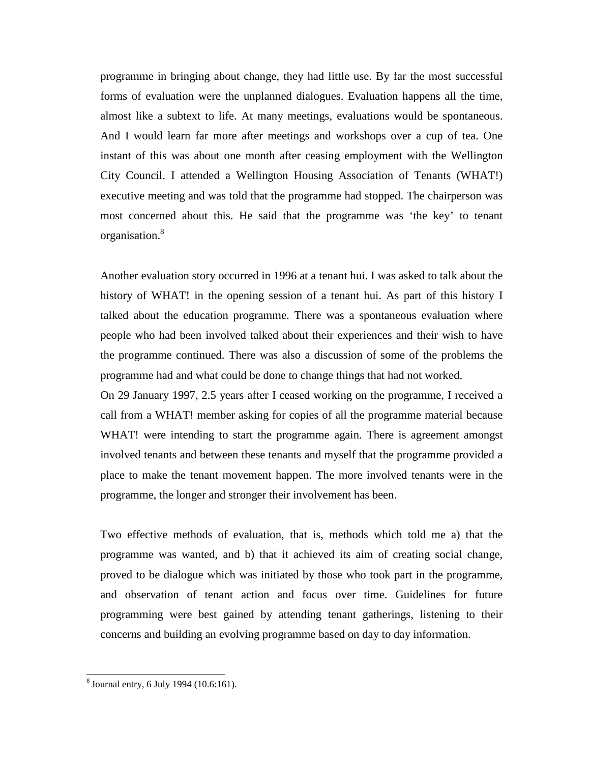programme in bringing about change, they had little use. By far the most successful forms of evaluation were the unplanned dialogues. Evaluation happens all the time, almost like a subtext to life. At many meetings, evaluations would be spontaneous. And I would learn far more after meetings and workshops over a cup of tea. One instant of this was about one month after ceasing employment with the Wellington City Council. I attended a Wellington Housing Association of Tenants (WHAT!) executive meeting and was told that the programme had stopped. The chairperson was most concerned about this. He said that the programme was 'the key' to tenant organisation.8

Another evaluation story occurred in 1996 at a tenant hui. I was asked to talk about the history of WHAT! in the opening session of a tenant hui. As part of this history I talked about the education programme. There was a spontaneous evaluation where people who had been involved talked about their experiences and their wish to have the programme continued. There was also a discussion of some of the problems the programme had and what could be done to change things that had not worked.

On 29 January 1997, 2.5 years after I ceased working on the programme, I received a call from a WHAT! member asking for copies of all the programme material because WHAT! were intending to start the programme again. There is agreement amongst involved tenants and between these tenants and myself that the programme provided a place to make the tenant movement happen. The more involved tenants were in the programme, the longer and stronger their involvement has been.

Two effective methods of evaluation, that is, methods which told me a) that the programme was wanted, and b) that it achieved its aim of creating social change, proved to be dialogue which was initiated by those who took part in the programme, and observation of tenant action and focus over time. Guidelines for future programming were best gained by attending tenant gatherings, listening to their concerns and building an evolving programme based on day to day information.

 <sup>8</sup> Journal entry, 6 July 1994 (10.6:161).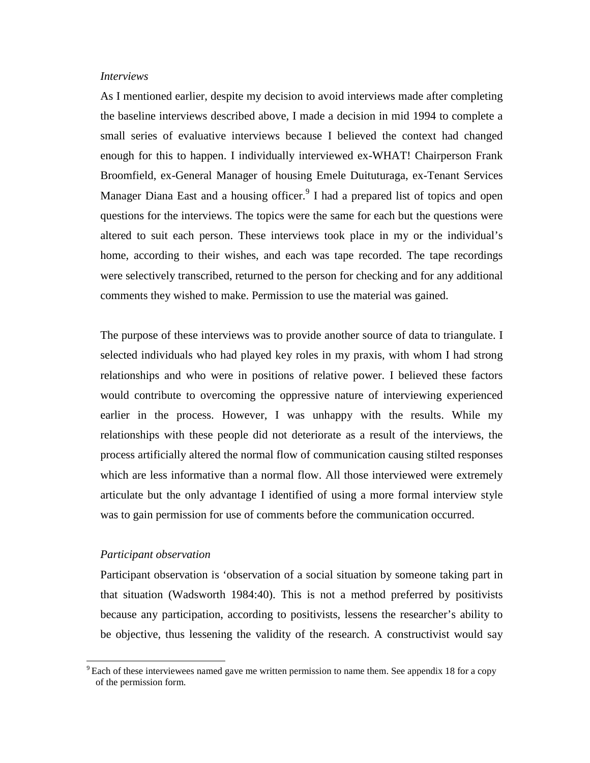### *Interviews*

As I mentioned earlier, despite my decision to avoid interviews made after completing the baseline interviews described above, I made a decision in mid 1994 to complete a small series of evaluative interviews because I believed the context had changed enough for this to happen. I individually interviewed ex-WHAT! Chairperson Frank Broomfield, ex-General Manager of housing Emele Duituturaga, ex-Tenant Services Manager Diana East and a housing officer.<sup>9</sup> I had a prepared list of topics and open questions for the interviews. The topics were the same for each but the questions were altered to suit each person. These interviews took place in my or the individual's home, according to their wishes, and each was tape recorded. The tape recordings were selectively transcribed, returned to the person for checking and for any additional comments they wished to make. Permission to use the material was gained.

The purpose of these interviews was to provide another source of data to triangulate. I selected individuals who had played key roles in my praxis, with whom I had strong relationships and who were in positions of relative power. I believed these factors would contribute to overcoming the oppressive nature of interviewing experienced earlier in the process. However, I was unhappy with the results. While my relationships with these people did not deteriorate as a result of the interviews, the process artificially altered the normal flow of communication causing stilted responses which are less informative than a normal flow. All those interviewed were extremely articulate but the only advantage I identified of using a more formal interview style was to gain permission for use of comments before the communication occurred.

#### *Participant observation*

Participant observation is 'observation of a social situation by someone taking part in that situation (Wadsworth 1984:40). This is not a method preferred by positivists because any participation, according to positivists, lessens the researcher's ability to be objective, thus lessening the validity of the research. A constructivist would say

 $9$  Each of these interviewees named gave me written permission to name them. See appendix 18 for a copy of the permission form.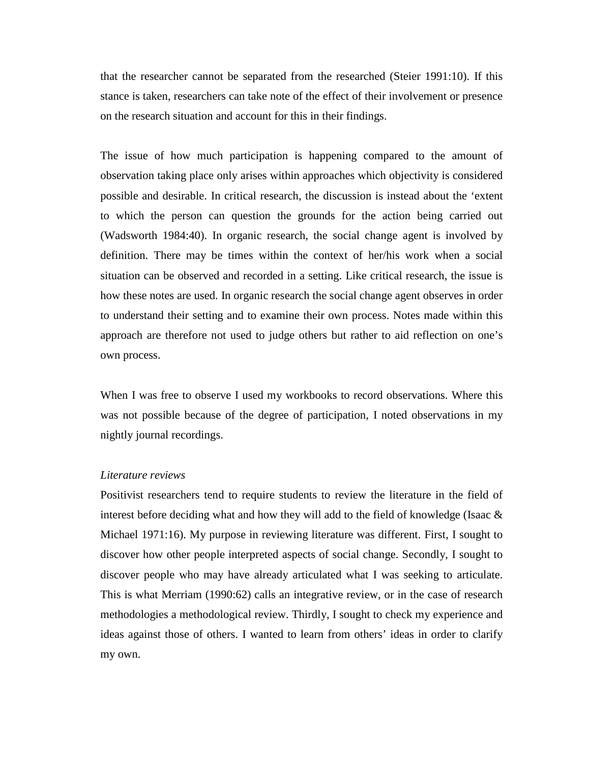that the researcher cannot be separated from the researched (Steier 1991:10). If this stance is taken, researchers can take note of the effect of their involvement or presence on the research situation and account for this in their findings.

The issue of how much participation is happening compared to the amount of observation taking place only arises within approaches which objectivity is considered possible and desirable. In critical research, the discussion is instead about the 'extent to which the person can question the grounds for the action being carried out (Wadsworth 1984:40). In organic research, the social change agent is involved by definition. There may be times within the context of her/his work when a social situation can be observed and recorded in a setting. Like critical research, the issue is how these notes are used. In organic research the social change agent observes in order to understand their setting and to examine their own process. Notes made within this approach are therefore not used to judge others but rather to aid reflection on one's own process.

When I was free to observe I used my workbooks to record observations. Where this was not possible because of the degree of participation, I noted observations in my nightly journal recordings.

### *Literature reviews*

Positivist researchers tend to require students to review the literature in the field of interest before deciding what and how they will add to the field of knowledge (Isaac  $\&$ Michael 1971:16). My purpose in reviewing literature was different. First, I sought to discover how other people interpreted aspects of social change. Secondly, I sought to discover people who may have already articulated what I was seeking to articulate. This is what Merriam (1990:62) calls an integrative review, or in the case of research methodologies a methodological review. Thirdly, I sought to check my experience and ideas against those of others. I wanted to learn from others' ideas in order to clarify my own.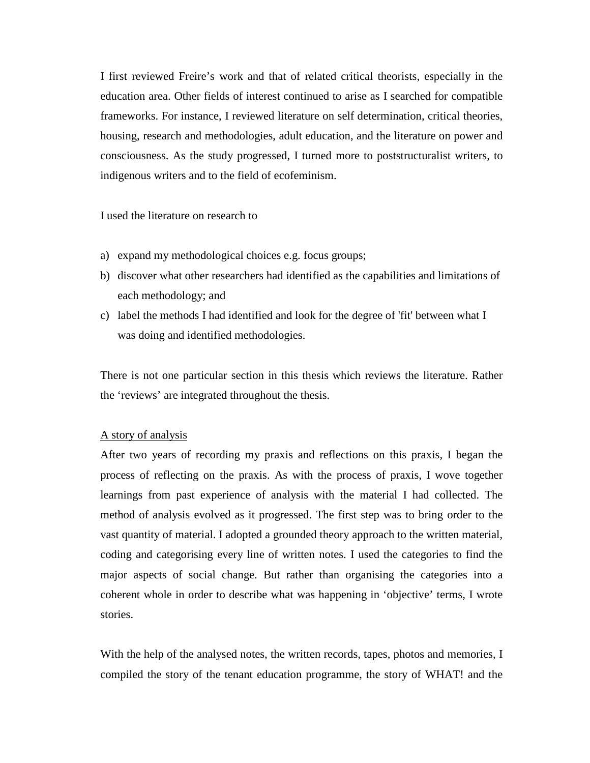I first reviewed Freire's work and that of related critical theorists, especially in the education area. Other fields of interest continued to arise as I searched for compatible frameworks. For instance, I reviewed literature on self determination, critical theories, housing, research and methodologies, adult education, and the literature on power and consciousness. As the study progressed, I turned more to poststructuralist writers, to indigenous writers and to the field of ecofeminism.

I used the literature on research to

- a) expand my methodological choices e.g. focus groups;
- b) discover what other researchers had identified as the capabilities and limitations of each methodology; and
- c) label the methods I had identified and look for the degree of 'fit' between what I was doing and identified methodologies.

There is not one particular section in this thesis which reviews the literature. Rather the 'reviews' are integrated throughout the thesis.

### A story of analysis

After two years of recording my praxis and reflections on this praxis, I began the process of reflecting on the praxis. As with the process of praxis, I wove together learnings from past experience of analysis with the material I had collected. The method of analysis evolved as it progressed. The first step was to bring order to the vast quantity of material. I adopted a grounded theory approach to the written material, coding and categorising every line of written notes. I used the categories to find the major aspects of social change. But rather than organising the categories into a coherent whole in order to describe what was happening in 'objective' terms, I wrote stories.

With the help of the analysed notes, the written records, tapes, photos and memories, I compiled the story of the tenant education programme, the story of WHAT! and the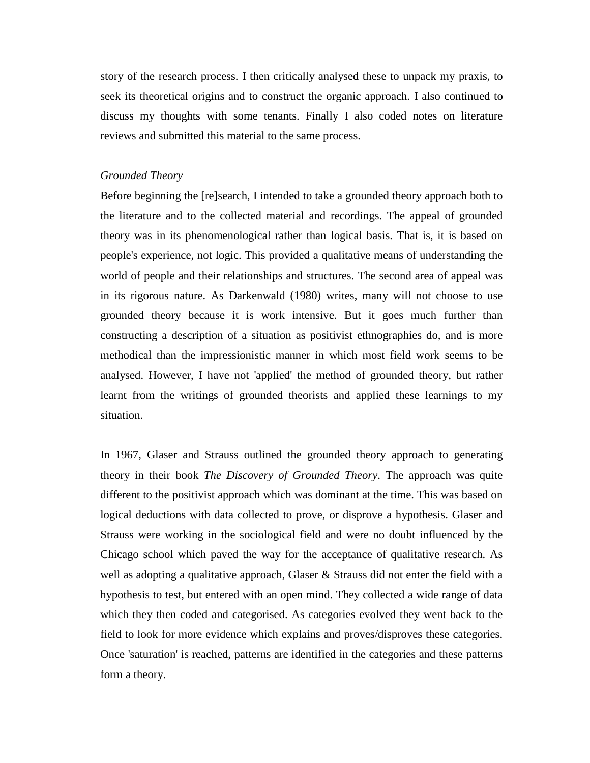story of the research process. I then critically analysed these to unpack my praxis, to seek its theoretical origins and to construct the organic approach. I also continued to discuss my thoughts with some tenants. Finally I also coded notes on literature reviews and submitted this material to the same process.

### *Grounded Theory*

Before beginning the [re]search, I intended to take a grounded theory approach both to the literature and to the collected material and recordings. The appeal of grounded theory was in its phenomenological rather than logical basis. That is, it is based on people's experience, not logic. This provided a qualitative means of understanding the world of people and their relationships and structures. The second area of appeal was in its rigorous nature. As Darkenwald (1980) writes, many will not choose to use grounded theory because it is work intensive. But it goes much further than constructing a description of a situation as positivist ethnographies do, and is more methodical than the impressionistic manner in which most field work seems to be analysed. However, I have not 'applied' the method of grounded theory, but rather learnt from the writings of grounded theorists and applied these learnings to my situation.

In 1967, Glaser and Strauss outlined the grounded theory approach to generating theory in their book *The Discovery of Grounded Theory*. The approach was quite different to the positivist approach which was dominant at the time. This was based on logical deductions with data collected to prove, or disprove a hypothesis. Glaser and Strauss were working in the sociological field and were no doubt influenced by the Chicago school which paved the way for the acceptance of qualitative research. As well as adopting a qualitative approach, Glaser  $\&$  Strauss did not enter the field with a hypothesis to test, but entered with an open mind. They collected a wide range of data which they then coded and categorised. As categories evolved they went back to the field to look for more evidence which explains and proves/disproves these categories. Once 'saturation' is reached, patterns are identified in the categories and these patterns form a theory.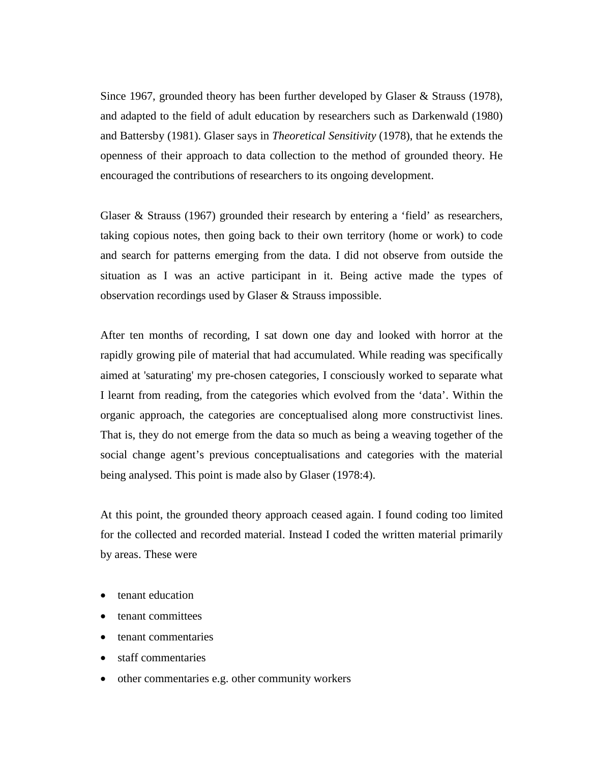Since 1967, grounded theory has been further developed by Glaser & Strauss (1978), and adapted to the field of adult education by researchers such as Darkenwald (1980) and Battersby (1981). Glaser says in *Theoretical Sensitivity* (1978), that he extends the openness of their approach to data collection to the method of grounded theory. He encouraged the contributions of researchers to its ongoing development.

Glaser & Strauss (1967) grounded their research by entering a 'field' as researchers, taking copious notes, then going back to their own territory (home or work) to code and search for patterns emerging from the data. I did not observe from outside the situation as I was an active participant in it. Being active made the types of observation recordings used by Glaser & Strauss impossible.

After ten months of recording, I sat down one day and looked with horror at the rapidly growing pile of material that had accumulated. While reading was specifically aimed at 'saturating' my pre-chosen categories, I consciously worked to separate what I learnt from reading, from the categories which evolved from the 'data'. Within the organic approach, the categories are conceptualised along more constructivist lines. That is, they do not emerge from the data so much as being a weaving together of the social change agent's previous conceptualisations and categories with the material being analysed. This point is made also by Glaser (1978:4).

At this point, the grounded theory approach ceased again. I found coding too limited for the collected and recorded material. Instead I coded the written material primarily by areas. These were

- tenant education
- tenant committees
- tenant commentaries
- staff commentaries
- other commentaries e.g. other community workers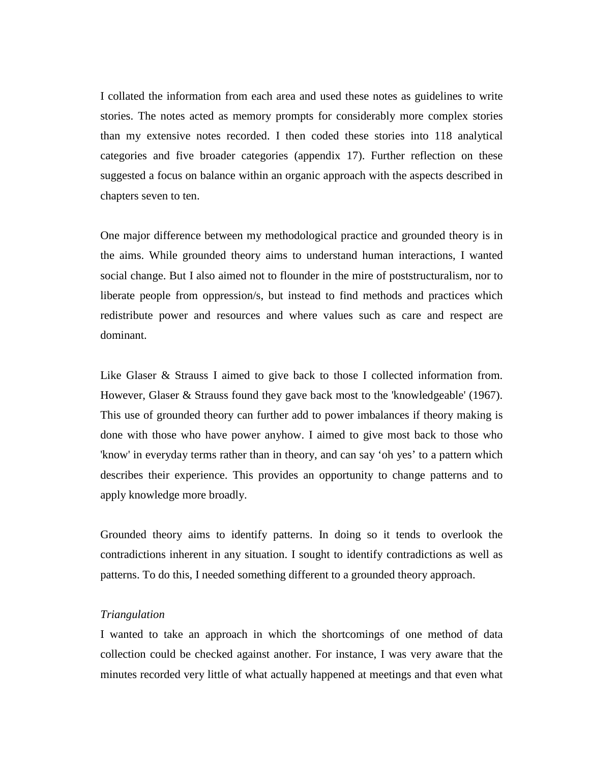I collated the information from each area and used these notes as guidelines to write stories. The notes acted as memory prompts for considerably more complex stories than my extensive notes recorded. I then coded these stories into 118 analytical categories and five broader categories (appendix 17). Further reflection on these suggested a focus on balance within an organic approach with the aspects described in chapters seven to ten.

One major difference between my methodological practice and grounded theory is in the aims. While grounded theory aims to understand human interactions, I wanted social change. But I also aimed not to flounder in the mire of poststructuralism, nor to liberate people from oppression/s, but instead to find methods and practices which redistribute power and resources and where values such as care and respect are dominant.

Like Glaser & Strauss I aimed to give back to those I collected information from. However, Glaser & Strauss found they gave back most to the 'knowledgeable' (1967). This use of grounded theory can further add to power imbalances if theory making is done with those who have power anyhow. I aimed to give most back to those who 'know' in everyday terms rather than in theory, and can say 'oh yes' to a pattern which describes their experience. This provides an opportunity to change patterns and to apply knowledge more broadly.

Grounded theory aims to identify patterns. In doing so it tends to overlook the contradictions inherent in any situation. I sought to identify contradictions as well as patterns. To do this, I needed something different to a grounded theory approach.

# *Triangulation*

I wanted to take an approach in which the shortcomings of one method of data collection could be checked against another. For instance, I was very aware that the minutes recorded very little of what actually happened at meetings and that even what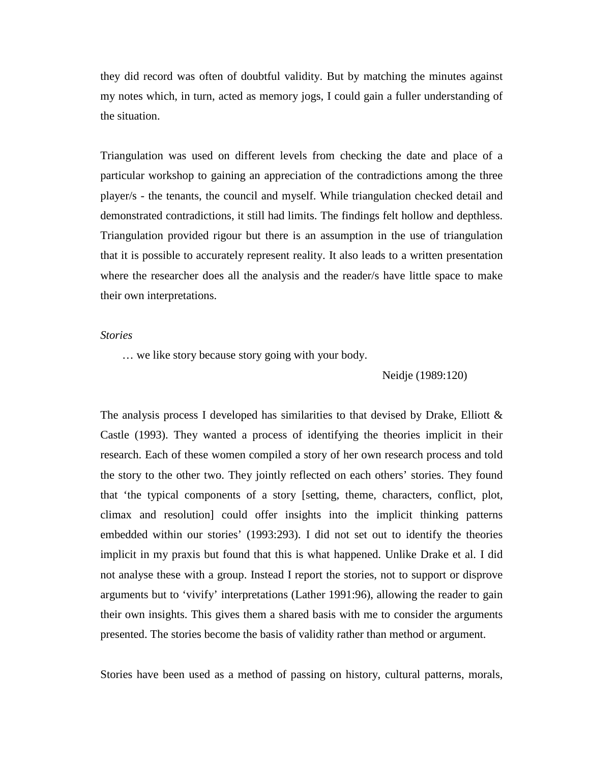they did record was often of doubtful validity. But by matching the minutes against my notes which, in turn, acted as memory jogs, I could gain a fuller understanding of the situation.

Triangulation was used on different levels from checking the date and place of a particular workshop to gaining an appreciation of the contradictions among the three player/s - the tenants, the council and myself. While triangulation checked detail and demonstrated contradictions, it still had limits. The findings felt hollow and depthless. Triangulation provided rigour but there is an assumption in the use of triangulation that it is possible to accurately represent reality. It also leads to a written presentation where the researcher does all the analysis and the reader/s have little space to make their own interpretations.

# *Stories*

… we like story because story going with your body.

Neidje (1989:120)

The analysis process I developed has similarities to that devised by Drake, Elliott & Castle (1993). They wanted a process of identifying the theories implicit in their research. Each of these women compiled a story of her own research process and told the story to the other two. They jointly reflected on each others' stories. They found that 'the typical components of a story [setting, theme, characters, conflict, plot, climax and resolution] could offer insights into the implicit thinking patterns embedded within our stories' (1993:293). I did not set out to identify the theories implicit in my praxis but found that this is what happened. Unlike Drake et al. I did not analyse these with a group. Instead I report the stories, not to support or disprove arguments but to 'vivify' interpretations (Lather 1991:96), allowing the reader to gain their own insights. This gives them a shared basis with me to consider the arguments presented. The stories become the basis of validity rather than method or argument.

Stories have been used as a method of passing on history, cultural patterns, morals,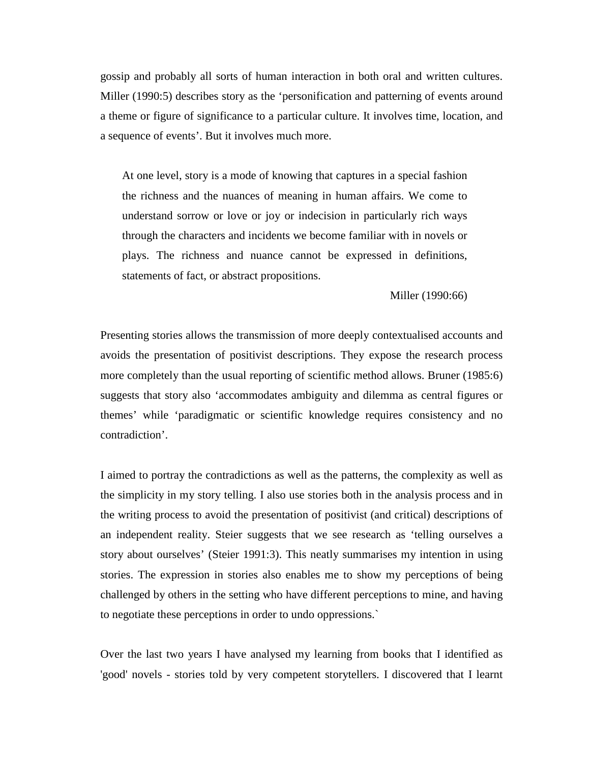gossip and probably all sorts of human interaction in both oral and written cultures. Miller (1990:5) describes story as the 'personification and patterning of events around a theme or figure of significance to a particular culture. It involves time, location, and a sequence of events'. But it involves much more.

At one level, story is a mode of knowing that captures in a special fashion the richness and the nuances of meaning in human affairs. We come to understand sorrow or love or joy or indecision in particularly rich ways through the characters and incidents we become familiar with in novels or plays. The richness and nuance cannot be expressed in definitions, statements of fact, or abstract propositions.

Miller (1990:66)

Presenting stories allows the transmission of more deeply contextualised accounts and avoids the presentation of positivist descriptions. They expose the research process more completely than the usual reporting of scientific method allows. Bruner (1985:6) suggests that story also 'accommodates ambiguity and dilemma as central figures or themes' while 'paradigmatic or scientific knowledge requires consistency and no contradiction'.

I aimed to portray the contradictions as well as the patterns, the complexity as well as the simplicity in my story telling. I also use stories both in the analysis process and in the writing process to avoid the presentation of positivist (and critical) descriptions of an independent reality. Steier suggests that we see research as 'telling ourselves a story about ourselves' (Steier 1991:3). This neatly summarises my intention in using stories. The expression in stories also enables me to show my perceptions of being challenged by others in the setting who have different perceptions to mine, and having to negotiate these perceptions in order to undo oppressions.`

Over the last two years I have analysed my learning from books that I identified as 'good' novels - stories told by very competent storytellers. I discovered that I learnt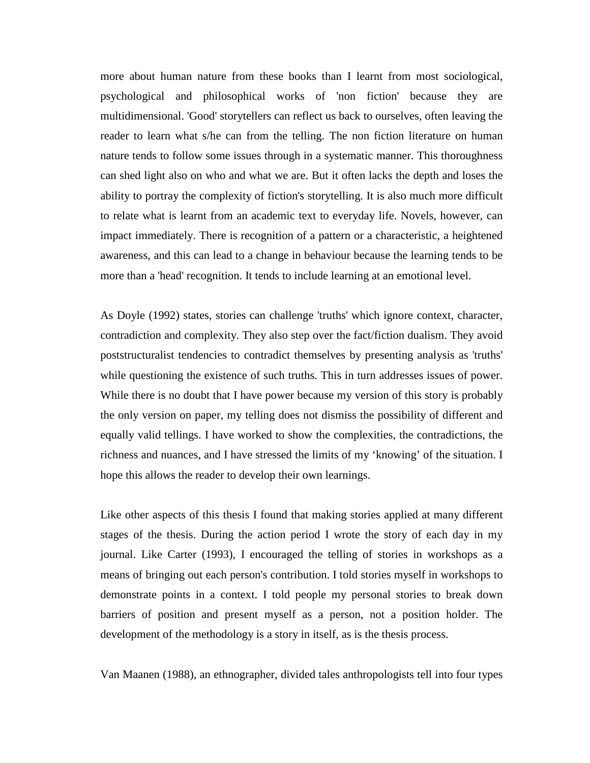more about human nature from these books than I learnt from most sociological, psychological and philosophical works of 'non fiction' because they are multidimensional. 'Good' storytellers can reflect us back to ourselves, often leaving the reader to learn what s/he can from the telling. The non fiction literature on human nature tends to follow some issues through in a systematic manner. This thoroughness can shed light also on who and what we are. But it often lacks the depth and loses the ability to portray the complexity of fiction's storytelling. It is also much more difficult to relate what is learnt from an academic text to everyday life. Novels, however, can impact immediately. There is recognition of a pattern or a characteristic, a heightened awareness, and this can lead to a change in behaviour because the learning tends to be more than a 'head' recognition. It tends to include learning at an emotional level.

As Doyle (1992) states, stories can challenge 'truths' which ignore context, character, contradiction and complexity. They also step over the fact/fiction dualism. They avoid poststructuralist tendencies to contradict themselves by presenting analysis as 'truths' while questioning the existence of such truths. This in turn addresses issues of power. While there is no doubt that I have power because my version of this story is probably the only version on paper, my telling does not dismiss the possibility of different and equally valid tellings. I have worked to show the complexities, the contradictions, the richness and nuances, and I have stressed the limits of my 'knowing' of the situation. I hope this allows the reader to develop their own learnings.

Like other aspects of this thesis I found that making stories applied at many different stages of the thesis. During the action period I wrote the story of each day in my journal. Like Carter (1993), I encouraged the telling of stories in workshops as a means of bringing out each person's contribution. I told stories myself in workshops to demonstrate points in a context. I told people my personal stories to break down barriers of position and present myself as a person, not a position holder. The development of the methodology is a story in itself, as is the thesis process.

Van Maanen (1988), an ethnographer, divided tales anthropologists tell into four types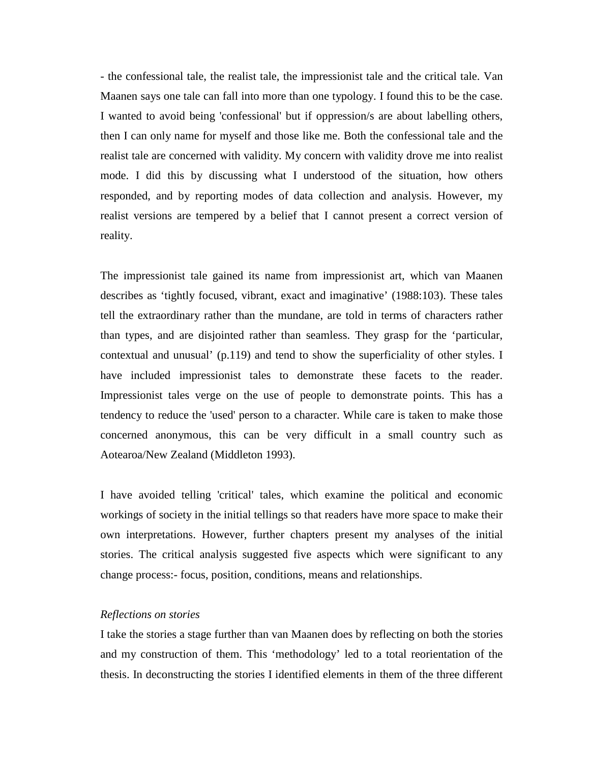- the confessional tale, the realist tale, the impressionist tale and the critical tale. Van Maanen says one tale can fall into more than one typology. I found this to be the case. I wanted to avoid being 'confessional' but if oppression/s are about labelling others, then I can only name for myself and those like me. Both the confessional tale and the realist tale are concerned with validity. My concern with validity drove me into realist mode. I did this by discussing what I understood of the situation, how others responded, and by reporting modes of data collection and analysis. However, my realist versions are tempered by a belief that I cannot present a correct version of reality.

The impressionist tale gained its name from impressionist art, which van Maanen describes as 'tightly focused, vibrant, exact and imaginative' (1988:103). These tales tell the extraordinary rather than the mundane, are told in terms of characters rather than types, and are disjointed rather than seamless. They grasp for the 'particular, contextual and unusual' (p.119) and tend to show the superficiality of other styles. I have included impressionist tales to demonstrate these facets to the reader. Impressionist tales verge on the use of people to demonstrate points. This has a tendency to reduce the 'used' person to a character. While care is taken to make those concerned anonymous, this can be very difficult in a small country such as Aotearoa/New Zealand (Middleton 1993).

I have avoided telling 'critical' tales, which examine the political and economic workings of society in the initial tellings so that readers have more space to make their own interpretations. However, further chapters present my analyses of the initial stories. The critical analysis suggested five aspects which were significant to any change process:- focus, position, conditions, means and relationships.

# *Reflections on stories*

I take the stories a stage further than van Maanen does by reflecting on both the stories and my construction of them. This 'methodology' led to a total reorientation of the thesis. In deconstructing the stories I identified elements in them of the three different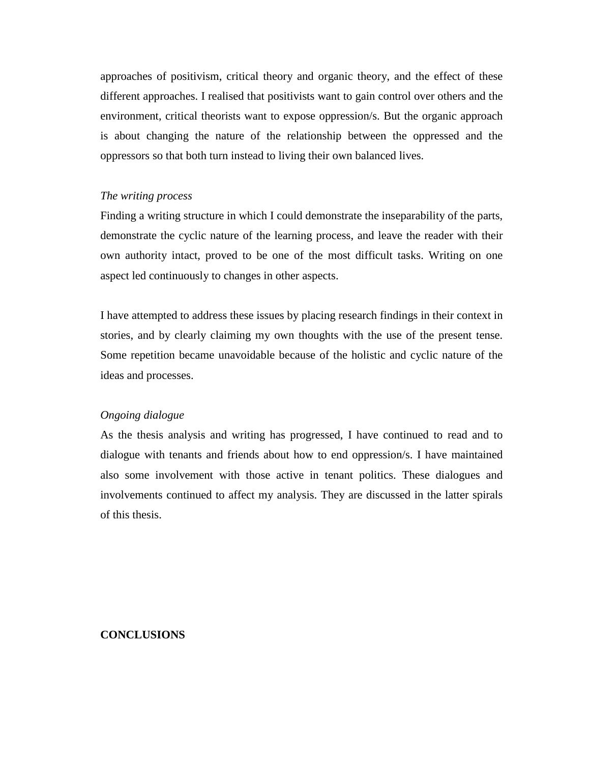approaches of positivism, critical theory and organic theory, and the effect of these different approaches. I realised that positivists want to gain control over others and the environment, critical theorists want to expose oppression/s. But the organic approach is about changing the nature of the relationship between the oppressed and the oppressors so that both turn instead to living their own balanced lives.

### *The writing process*

Finding a writing structure in which I could demonstrate the inseparability of the parts, demonstrate the cyclic nature of the learning process, and leave the reader with their own authority intact, proved to be one of the most difficult tasks. Writing on one aspect led continuously to changes in other aspects.

I have attempted to address these issues by placing research findings in their context in stories, and by clearly claiming my own thoughts with the use of the present tense. Some repetition became unavoidable because of the holistic and cyclic nature of the ideas and processes.

### *Ongoing dialogue*

As the thesis analysis and writing has progressed, I have continued to read and to dialogue with tenants and friends about how to end oppression/s. I have maintained also some involvement with those active in tenant politics. These dialogues and involvements continued to affect my analysis. They are discussed in the latter spirals of this thesis.

### **CONCLUSIONS**